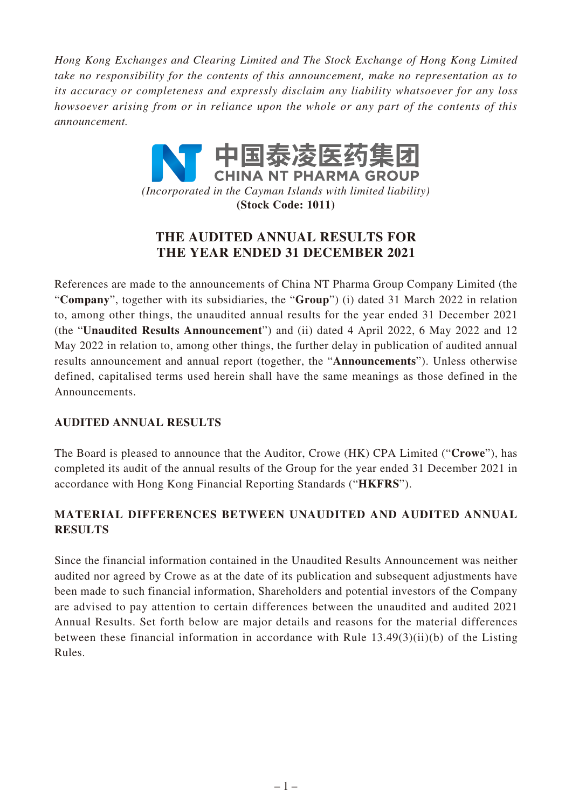*Hong Kong Exchanges and Clearing Limited and The Stock Exchange of Hong Kong Limited take no responsibility for the contents of this announcement, make no representation as to its accuracy or completeness and expressly disclaim any liability whatsoever for any loss howsoever arising from or in reliance upon the whole or any part of the contents of this announcement.*

> 中国泰凌医药集| **CHINA NT PHARMA GROUP** *(Incorporated in the Cayman Islands with limited liability)* **(Stock Code: 1011)**

# **THE AUDITED ANNUAL RESULTS FOR THE YEAR ENDED 31 DECEMBER 2021**

References are made to the announcements of China NT Pharma Group Company Limited (the "**Company**", together with its subsidiaries, the "**Group**") (i) dated 31 March 2022 in relation to, among other things, the unaudited annual results for the year ended 31 December 2021 (the "**Unaudited Results Announcement**") and (ii) dated 4 April 2022, 6 May 2022 and 12 May 2022 in relation to, among other things, the further delay in publication of audited annual results announcement and annual report (together, the "**Announcements**"). Unless otherwise defined, capitalised terms used herein shall have the same meanings as those defined in the Announcements.

# **AUDITED ANNUAL RESULTS**

The Board is pleased to announce that the Auditor, Crowe (HK) CPA Limited ("**Crowe**"), has completed its audit of the annual results of the Group for the year ended 31 December 2021 in accordance with Hong Kong Financial Reporting Standards ("**HKFRS**").

# **MATERIAL DIFFERENCES BETWEEN UNAUDITED AND AUDITED ANNUAL RESULTS**

Since the financial information contained in the Unaudited Results Announcement was neither audited nor agreed by Crowe as at the date of its publication and subsequent adjustments have been made to such financial information, Shareholders and potential investors of the Company are advised to pay attention to certain differences between the unaudited and audited 2021 Annual Results. Set forth below are major details and reasons for the material differences between these financial information in accordance with Rule 13.49(3)(ii)(b) of the Listing Rules.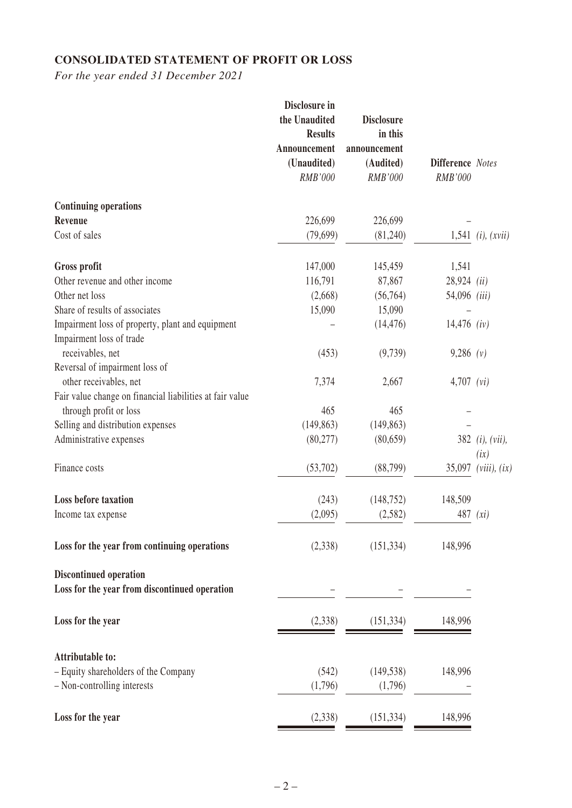# **CONSOLIDATED STATEMENT OF PROFIT OR LOSS**

*For the year ended 31 December 2021*

|                                                                              | Disclosure in<br>the Unaudited<br><b>Results</b><br>Announcement<br>(Unaudited) | <b>Disclosure</b><br>in this<br>announcement<br>(Audited) | <b>Difference</b> Notes |                                       |
|------------------------------------------------------------------------------|---------------------------------------------------------------------------------|-----------------------------------------------------------|-------------------------|---------------------------------------|
|                                                                              | RMB'000                                                                         | RMB'000                                                   | RMB'000                 |                                       |
| <b>Continuing operations</b>                                                 |                                                                                 |                                                           |                         |                                       |
| Revenue                                                                      | 226,699                                                                         | 226,699                                                   |                         |                                       |
| Cost of sales                                                                | (79,699)                                                                        | (81,240)                                                  |                         | $1,541$ ( <i>i</i> ), ( <i>xvii</i> ) |
| Gross profit                                                                 | 147,000                                                                         | 145,459                                                   | 1,541                   |                                       |
| Other revenue and other income                                               | 116,791                                                                         | 87,867                                                    | $28,924$ (ii)           |                                       |
| Other net loss                                                               | (2,668)                                                                         | (56,764)                                                  | 54,096 (iii)            |                                       |
| Share of results of associates                                               | 15,090                                                                          | 15,090                                                    |                         |                                       |
| Impairment loss of property, plant and equipment<br>Impairment loss of trade |                                                                                 | (14, 476)                                                 | $14,476$ (iv)           |                                       |
| receivables, net                                                             | (453)                                                                           | (9,739)                                                   | $9,286$ (v)             |                                       |
| Reversal of impairment loss of                                               |                                                                                 |                                                           |                         |                                       |
| other receivables, net                                                       | 7,374                                                                           | 2,667                                                     | $4,707$ (vi)            |                                       |
| Fair value change on financial liabilities at fair value                     |                                                                                 |                                                           |                         |                                       |
| through profit or loss                                                       | 465                                                                             | 465                                                       |                         |                                       |
| Selling and distribution expenses                                            | (149, 863)                                                                      | (149, 863)                                                |                         |                                       |
| Administrative expenses                                                      | (80, 277)                                                                       | (80, 659)                                                 |                         | 382 ( <i>i</i> ), ( <i>vii</i> ),     |
|                                                                              |                                                                                 |                                                           |                         | (ix)                                  |
| Finance costs                                                                | (53,702)                                                                        | (88, 799)                                                 | 35,097                  | (viii), (ix)                          |
| <b>Loss before taxation</b>                                                  | (243)                                                                           | (148, 752)                                                | 148,509                 |                                       |
| Income tax expense                                                           | (2,095)                                                                         | (2, 582)                                                  | 487                     | (xi)                                  |
| Loss for the year from continuing operations                                 | (2,338)                                                                         | (151, 334)                                                | 148,996                 |                                       |
| <b>Discontinued operation</b>                                                |                                                                                 |                                                           |                         |                                       |
| Loss for the year from discontinued operation                                |                                                                                 |                                                           |                         |                                       |
| Loss for the year                                                            | (2,338)                                                                         | (151, 334)                                                | 148,996                 |                                       |
| <b>Attributable to:</b>                                                      |                                                                                 |                                                           |                         |                                       |
| - Equity shareholders of the Company                                         | (542)                                                                           | (149, 538)                                                | 148,996                 |                                       |
| - Non-controlling interests                                                  | (1,796)                                                                         | (1,796)                                                   |                         |                                       |
| Loss for the year                                                            | (2,338)                                                                         | (151, 334)                                                | 148,996                 |                                       |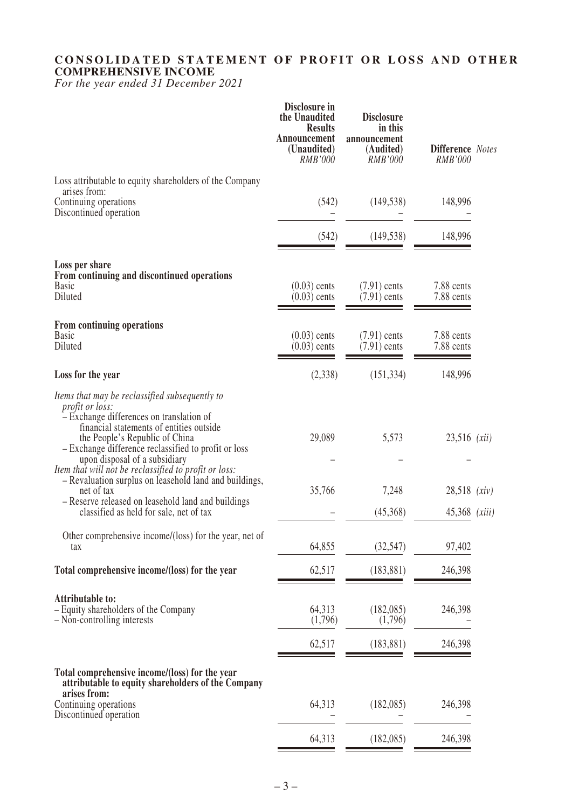# **CONSOLIDATED STATEMENT OF PROFIT OR LOSS AND OTHER COMPREHENSIVE INCOME**

*For the year ended 31 December 2021*

|                                                                                                                                                                                                                                                                                                                                                                                                                              | Disclosure in<br>the Unaudited<br><b>Results</b><br>Announcement<br>(Unaudited)<br><i>RMB'000</i> | <b>Disclosure</b><br>in this<br>announcement<br>(Audited)<br><b>RMB'000</b> | <b>Difference</b> Notes<br>RMB'000        |        |
|------------------------------------------------------------------------------------------------------------------------------------------------------------------------------------------------------------------------------------------------------------------------------------------------------------------------------------------------------------------------------------------------------------------------------|---------------------------------------------------------------------------------------------------|-----------------------------------------------------------------------------|-------------------------------------------|--------|
| Loss attributable to equity shareholders of the Company<br>arises from:<br>Continuing operations<br>Discontinued operation                                                                                                                                                                                                                                                                                                   | (542)                                                                                             | (149, 538)                                                                  | 148,996                                   |        |
|                                                                                                                                                                                                                                                                                                                                                                                                                              | (542)                                                                                             | (149, 538)                                                                  | 148,996                                   |        |
| Loss per share<br>From continuing and discontinued operations<br><b>Basic</b><br>Diluted                                                                                                                                                                                                                                                                                                                                     | $(0.03)$ cents<br>$(0.03)$ cents                                                                  | $(7.91)$ cents<br>$(7.91)$ cents                                            | 7.88 cents<br>7.88 cents                  |        |
| From continuing operations<br><b>Basic</b><br>Diluted                                                                                                                                                                                                                                                                                                                                                                        | $(0.03)$ cents<br>$(0.03)$ cents                                                                  | $(7.91)$ cents<br>$(7.91)$ cents                                            | 7.88 cents<br>7.88 cents                  |        |
| Loss for the year                                                                                                                                                                                                                                                                                                                                                                                                            | (2,338)                                                                                           | (151, 334)                                                                  | 148,996                                   |        |
| Items that may be reclassified subsequently to<br><i>profit or loss:</i><br>- Exchange differences on translation of<br>financial statements of entities outside<br>the People's Republic of China<br>- Exchange difference reclassified to profit or loss<br>upon disposal of a subsidiary<br>Item that will not be reclassified to profit or loss:<br>- Revaluation surplus on leasehold land and buildings,<br>net of tax | 29,089<br>35,766                                                                                  | 5,573<br>7,248                                                              | $23,516$ ( <i>xii</i> )<br>$28,518$ (xiv) |        |
| - Reserve released on leasehold land and buildings<br>classified as held for sale, net of tax                                                                                                                                                                                                                                                                                                                                |                                                                                                   | (45,368)                                                                    | 45,368                                    | (xiii) |
| Other comprehensive income/(loss) for the year, net of<br>tax                                                                                                                                                                                                                                                                                                                                                                | 64,855                                                                                            | (32, 547)                                                                   | 97,402                                    |        |
| Total comprehensive income/(loss) for the year                                                                                                                                                                                                                                                                                                                                                                               | 62,517                                                                                            | (183, 881)                                                                  | 246,398                                   |        |
| <b>Attributable to:</b><br>- Equity shareholders of the Company<br>- Non-controlling interests                                                                                                                                                                                                                                                                                                                               | 64,313<br>(1,796)                                                                                 | (182,085)<br>(1,796)                                                        | 246,398                                   |        |
|                                                                                                                                                                                                                                                                                                                                                                                                                              | 62,517                                                                                            | (183, 881)                                                                  | 246,398                                   |        |
| Total comprehensive income/(loss) for the year<br>attributable to equity shareholders of the Company<br>arises from:<br>Continuing operations                                                                                                                                                                                                                                                                                | 64,313                                                                                            | (182,085)                                                                   | 246,398                                   |        |
| Discontinued operation                                                                                                                                                                                                                                                                                                                                                                                                       | 64,313                                                                                            | (182,085)                                                                   | 246,398                                   |        |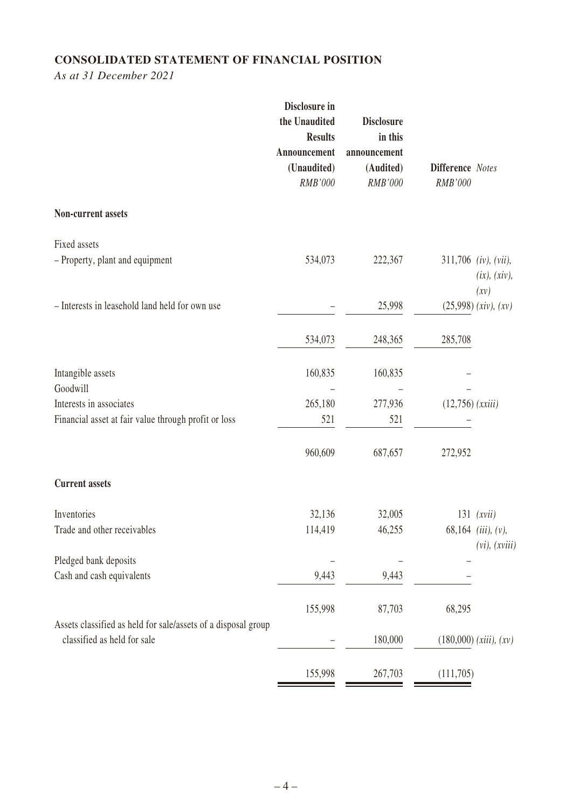# **CONSOLIDATED STATEMENT OF FINANCIAL POSITION**

*As at 31 December 2021*

|                                                                                              | Disclosure in<br>the Unaudited<br><b>Results</b><br>Announcement<br>(Unaudited)<br>RMB'000 | <b>Disclosure</b><br>in this<br>announcement<br>(Audited)<br>RMB'000 | <b>Difference</b> Notes<br>RMB'000 |                                                |
|----------------------------------------------------------------------------------------------|--------------------------------------------------------------------------------------------|----------------------------------------------------------------------|------------------------------------|------------------------------------------------|
| Non-current assets                                                                           |                                                                                            |                                                                      |                                    |                                                |
| Fixed assets                                                                                 |                                                                                            |                                                                      |                                    |                                                |
| - Property, plant and equipment                                                              | 534,073                                                                                    | 222,367                                                              |                                    | $311,706$ (iv), (vii),<br>(ix), (xiv),<br>(xy) |
| - Interests in leasehold land held for own use                                               |                                                                                            | 25,998                                                               |                                    | $(25,998)$ (xiv), (xv)                         |
|                                                                                              | 534,073                                                                                    | 248,365                                                              | 285,708                            |                                                |
| Intangible assets<br>Goodwill                                                                | 160,835                                                                                    | 160,835                                                              |                                    |                                                |
| Interests in associates                                                                      | 265,180                                                                                    | 277,936                                                              | $(12,756)$ ( <i>xxiii</i> )        |                                                |
| Financial asset at fair value through profit or loss                                         | 521                                                                                        | 521                                                                  |                                    |                                                |
|                                                                                              | 960,609                                                                                    | 687,657                                                              | 272,952                            |                                                |
| <b>Current assets</b>                                                                        |                                                                                            |                                                                      |                                    |                                                |
| Inventories                                                                                  | 32,136                                                                                     | 32,005                                                               |                                    | $131$ ( <i>xvii</i> )                          |
| Trade and other receivables                                                                  | 114,419                                                                                    | 46,255                                                               |                                    | 68,164 (iii), (v),<br>$(vi)$ , $(xviii)$       |
| Pledged bank deposits                                                                        |                                                                                            |                                                                      |                                    |                                                |
| Cash and cash equivalents                                                                    | 9,443                                                                                      | 9,443                                                                |                                    |                                                |
|                                                                                              | 155,998                                                                                    | 87,703                                                               | 68,295                             |                                                |
| Assets classified as held for sale/assets of a disposal group<br>classified as held for sale |                                                                                            | 180,000                                                              |                                    | $(180,000)$ (xiii), (xv)                       |
|                                                                                              | 155,998                                                                                    | 267,703                                                              | (111,705)                          |                                                |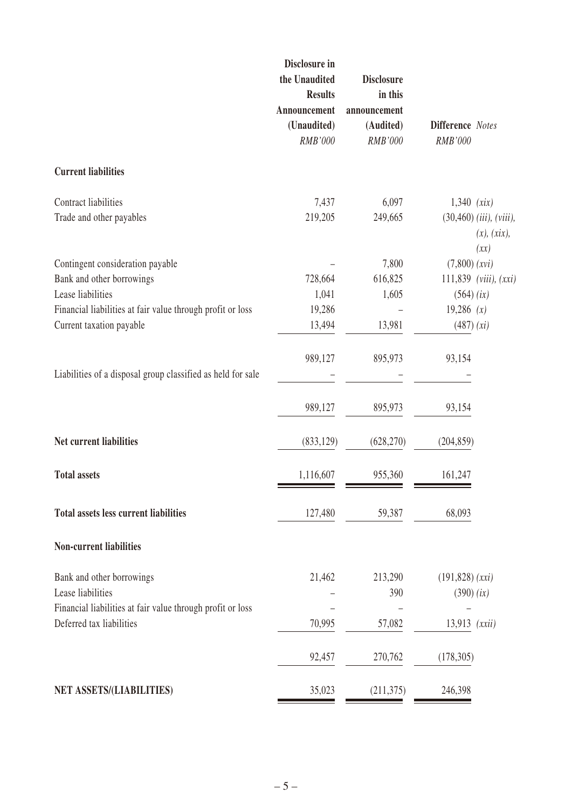|                                                                                        | Disclosure in<br>the Unaudited<br><b>Results</b><br>Announcement<br>(Unaudited)<br>RMB'000 | <b>Disclosure</b><br>in this<br>announcement<br>(Audited)<br><b>RMB'000</b> | <b>Difference</b> Notes<br><b>RMB'000</b>         |
|----------------------------------------------------------------------------------------|--------------------------------------------------------------------------------------------|-----------------------------------------------------------------------------|---------------------------------------------------|
| <b>Current liabilities</b>                                                             |                                                                                            |                                                                             |                                                   |
| Contract liabilities                                                                   | 7,437                                                                                      | 6,097                                                                       | $1,340$ (xix)                                     |
| Trade and other payables                                                               | 219,205                                                                                    | 249,665                                                                     | $(30, 460)$ (iii), (viii),<br>(x), (xix),<br>(xx) |
| Contingent consideration payable                                                       |                                                                                            | 7,800                                                                       | (7,800)(xvi)                                      |
| Bank and other borrowings                                                              | 728,664                                                                                    | 616,825                                                                     | $111,839$ (viii), $(xxi)$                         |
| Lease liabilities                                                                      | 1,041                                                                                      | 1,605                                                                       | $(564)$ (ix)                                      |
| Financial liabilities at fair value through profit or loss                             | 19,286                                                                                     |                                                                             | 19,286(x)                                         |
| Current taxation payable                                                               | 13,494                                                                                     | 13,981                                                                      | (487) (xi)                                        |
|                                                                                        | 989,127                                                                                    | 895,973                                                                     | 93,154                                            |
| Liabilities of a disposal group classified as held for sale                            |                                                                                            |                                                                             |                                                   |
|                                                                                        | 989,127                                                                                    | 895,973                                                                     | 93,154                                            |
| Net current liabilities                                                                | (833, 129)                                                                                 | (628,270)                                                                   | (204, 859)                                        |
| <b>Total assets</b>                                                                    | 1,116,607                                                                                  | 955,360                                                                     | 161,247                                           |
| <b>Total assets less current liabilities</b>                                           | 127,480                                                                                    | 59,387                                                                      | 68,093                                            |
| <b>Non-current liabilities</b>                                                         |                                                                                            |                                                                             |                                                   |
| Bank and other borrowings                                                              | 21,462                                                                                     | 213,290                                                                     | $(191, 828)$ $(xxi)$                              |
| Lease liabilities                                                                      |                                                                                            | 390                                                                         | $(390)$ (ix)                                      |
| Financial liabilities at fair value through profit or loss<br>Deferred tax liabilities | 70,995                                                                                     | 57,082                                                                      | $13,913$ $(xxii)$                                 |
|                                                                                        | 92,457                                                                                     | 270,762                                                                     | (178, 305)                                        |
|                                                                                        |                                                                                            |                                                                             |                                                   |
| NET ASSETS/(LIABILITIES)                                                               | 35,023                                                                                     | (211,375)                                                                   | 246,398                                           |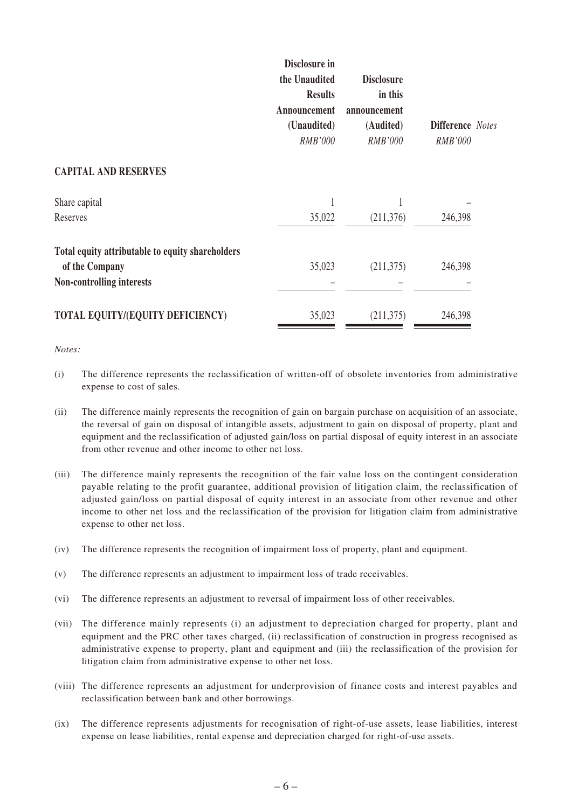|                                                                    | Disclosure in<br>the Unaudited<br><b>Results</b><br>Announcement<br>(Unaudited)<br><b>RMB'000</b> | <b>Disclosure</b><br>in this<br>announcement<br>(Audited)<br>RMB'000 | <b>Difference</b> Notes<br>RMB'000 |
|--------------------------------------------------------------------|---------------------------------------------------------------------------------------------------|----------------------------------------------------------------------|------------------------------------|
| <b>CAPITAL AND RESERVES</b>                                        |                                                                                                   |                                                                      |                                    |
| Share capital                                                      |                                                                                                   |                                                                      |                                    |
| Reserves                                                           | 35,022                                                                                            | (211,376)                                                            | 246,398                            |
| Total equity attributable to equity shareholders<br>of the Company | 35,023                                                                                            | (211,375)                                                            | 246,398                            |
| Non-controlling interests                                          |                                                                                                   |                                                                      |                                    |
| TOTAL EQUITY/(EQUITY DEFICIENCY)                                   | 35,023                                                                                            | (211,375)                                                            | 246,398                            |

*Notes:*

- (i) The difference represents the reclassification of written-off of obsolete inventories from administrative expense to cost of sales.
- (ii) The difference mainly represents the recognition of gain on bargain purchase on acquisition of an associate, the reversal of gain on disposal of intangible assets, adjustment to gain on disposal of property, plant and equipment and the reclassification of adjusted gain/loss on partial disposal of equity interest in an associate from other revenue and other income to other net loss.
- (iii) The difference mainly represents the recognition of the fair value loss on the contingent consideration payable relating to the profit guarantee, additional provision of litigation claim, the reclassification of adjusted gain/loss on partial disposal of equity interest in an associate from other revenue and other income to other net loss and the reclassification of the provision for litigation claim from administrative expense to other net loss.
- (iv) The difference represents the recognition of impairment loss of property, plant and equipment.
- (v) The difference represents an adjustment to impairment loss of trade receivables.
- (vi) The difference represents an adjustment to reversal of impairment loss of other receivables.
- (vii) The difference mainly represents (i) an adjustment to depreciation charged for property, plant and equipment and the PRC other taxes charged, (ii) reclassification of construction in progress recognised as administrative expense to property, plant and equipment and (iii) the reclassification of the provision for litigation claim from administrative expense to other net loss.
- (viii) The difference represents an adjustment for underprovision of finance costs and interest payables and reclassification between bank and other borrowings.
- (ix) The difference represents adjustments for recognisation of right-of-use assets, lease liabilities, interest expense on lease liabilities, rental expense and depreciation charged for right-of-use assets.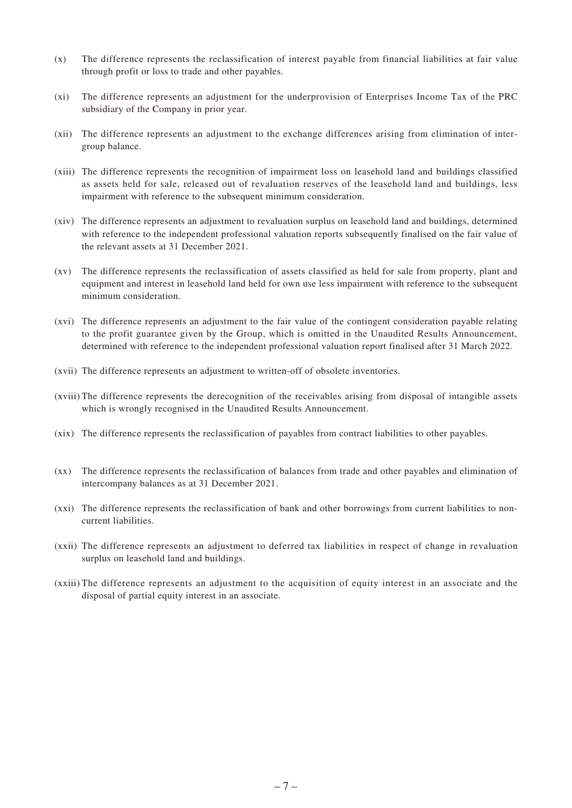- (x) The difference represents the reclassification of interest payable from financial liabilities at fair value through profit or loss to trade and other payables.
- (xi) The difference represents an adjustment for the underprovision of Enterprises Income Tax of the PRC subsidiary of the Company in prior year.
- (xii) The difference represents an adjustment to the exchange differences arising from elimination of intergroup balance.
- (xiii) The difference represents the recognition of impairment loss on leasehold land and buildings classified as assets held for sale, released out of revaluation reserves of the leasehold land and buildings, less impairment with reference to the subsequent minimum consideration.
- (xiv) The difference represents an adjustment to revaluation surplus on leasehold land and buildings, determined with reference to the independent professional valuation reports subsequently finalised on the fair value of the relevant assets at 31 December 2021.
- (xv) The difference represents the reclassification of assets classified as held for sale from property, plant and equipment and interest in leasehold land held for own use less impairment with reference to the subsequent minimum consideration.
- (xvi) The difference represents an adjustment to the fair value of the contingent consideration payable relating to the profit guarantee given by the Group, which is omitted in the Unaudited Results Announcement, determined with reference to the independent professional valuation report finalised after 31 March 2022.
- (xvii) The difference represents an adjustment to written-off of obsolete inventories.
- (xviii) The difference represents the derecognition of the receivables arising from disposal of intangible assets which is wrongly recognised in the Unaudited Results Announcement.
- (xix) The difference represents the reclassification of payables from contract liabilities to other payables.
- (xx) The difference represents the reclassification of balances from trade and other payables and elimination of intercompany balances as at 31 December 2021.
- (xxi) The difference represents the reclassification of bank and other borrowings from current liabilities to noncurrent liabilities.
- (xxii) The difference represents an adjustment to deferred tax liabilities in respect of change in revaluation surplus on leasehold land and buildings.
- (xxiii) The difference represents an adjustment to the acquisition of equity interest in an associate and the disposal of partial equity interest in an associate.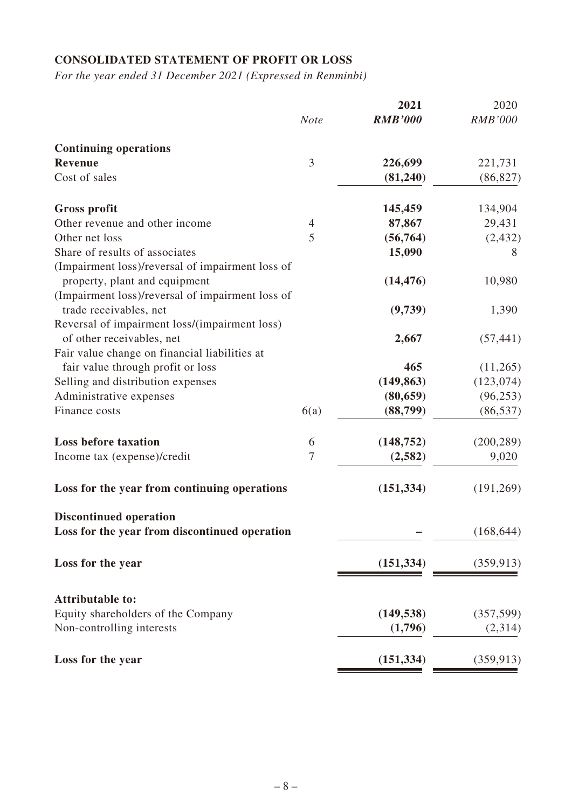# **CONSOLIDATED STATEMENT OF PROFIT OR LOSS**

*For the year ended 31 December 2021 (Expressed in Renminbi)*

|                                                  |                | 2021           | 2020           |
|--------------------------------------------------|----------------|----------------|----------------|
|                                                  | <b>Note</b>    | <b>RMB'000</b> | <b>RMB'000</b> |
| <b>Continuing operations</b>                     |                |                |                |
| <b>Revenue</b>                                   | 3              | 226,699        | 221,731        |
| Cost of sales                                    |                | (81, 240)      | (86, 827)      |
| <b>Gross profit</b>                              |                | 145,459        | 134,904        |
| Other revenue and other income                   | $\overline{4}$ | 87,867         | 29,431         |
| Other net loss                                   | 5              | (56, 764)      | (2, 432)       |
| Share of results of associates                   |                | 15,090         | 8              |
| (Impairment loss)/reversal of impairment loss of |                |                |                |
| property, plant and equipment                    |                | (14, 476)      | 10,980         |
| (Impairment loss)/reversal of impairment loss of |                |                |                |
| trade receivables, net                           |                | (9,739)        | 1,390          |
| Reversal of impairment loss/(impairment loss)    |                |                |                |
| of other receivables, net                        |                | 2,667          | (57, 441)      |
| Fair value change on financial liabilities at    |                |                |                |
| fair value through profit or loss                |                | 465            | (11,265)       |
| Selling and distribution expenses                |                | (149, 863)     | (123, 074)     |
| Administrative expenses                          |                | (80, 659)      | (96, 253)      |
| Finance costs                                    | 6(a)           | (88,799)       | (86, 537)      |
|                                                  |                |                |                |
| <b>Loss before taxation</b>                      | 6              | (148, 752)     | (200, 289)     |
| Income tax (expense)/credit                      | $\overline{7}$ | (2, 582)       | 9,020          |
|                                                  |                |                |                |
| Loss for the year from continuing operations     |                | (151, 334)     | (191,269)      |
| <b>Discontinued operation</b>                    |                |                |                |
| Loss for the year from discontinued operation    |                |                | (168, 644)     |
| Loss for the year                                |                | (151, 334)     | (359, 913)     |
|                                                  |                |                |                |
| <b>Attributable to:</b>                          |                |                |                |
| Equity shareholders of the Company               |                | (149, 538)     | (357, 599)     |
| Non-controlling interests                        |                | (1,796)        | (2,314)        |
| Loss for the year                                |                | (151, 334)     | (359, 913)     |
|                                                  |                |                |                |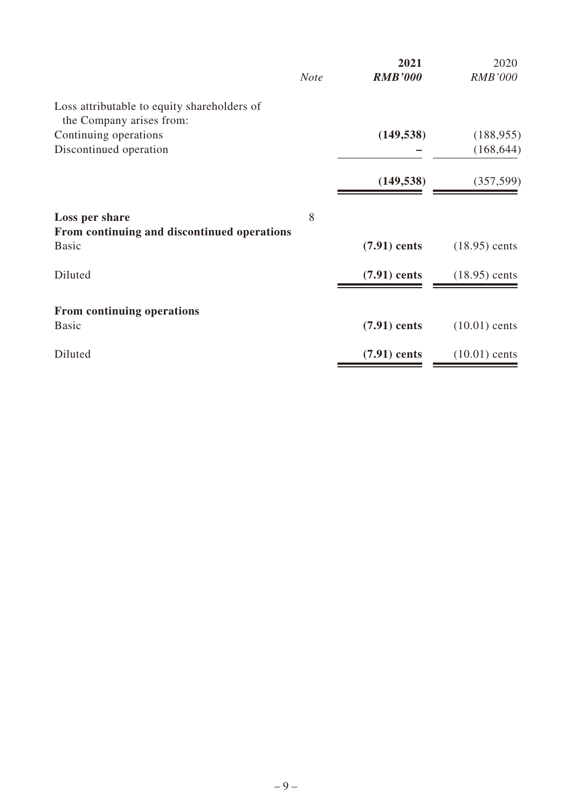|                                                             | <b>Note</b> | 2021<br><b>RMB'000</b> | 2020<br><b>RMB'000</b> |
|-------------------------------------------------------------|-------------|------------------------|------------------------|
| Loss attributable to equity shareholders of                 |             |                        |                        |
| the Company arises from:<br>Continuing operations           |             | (149, 538)             | (188, 955)             |
| Discontinued operation                                      |             |                        | (168, 644)             |
|                                                             |             |                        |                        |
|                                                             |             | (149, 538)             | (357, 599)             |
| Loss per share                                              | 8           |                        |                        |
| From continuing and discontinued operations<br><b>Basic</b> |             | $(7.91)$ cents         | $(18.95)$ cents        |
| Diluted                                                     |             | $(7.91)$ cents         | $(18.95)$ cents        |
| From continuing operations                                  |             |                        |                        |
| <b>Basic</b>                                                |             | $(7.91)$ cents         | $(10.01)$ cents        |
| Diluted                                                     |             | $(7.91)$ cents         | $(10.01)$ cents        |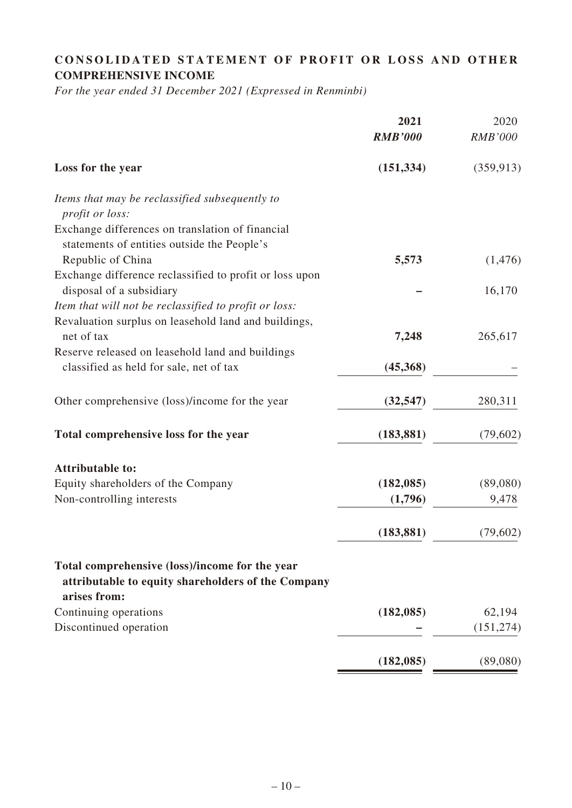# **CONSOLIDATED STATEMENT OF PROFIT OR LOSS AND OTHER COMPREHENSIVE INCOME**

*For the year ended 31 December 2021 (Expressed in Renminbi)*

|                                                                                                                      | 2021<br><b>RMB'000</b> | 2020<br><b>RMB'000</b> |
|----------------------------------------------------------------------------------------------------------------------|------------------------|------------------------|
| Loss for the year                                                                                                    | (151, 334)             | (359, 913)             |
| Items that may be reclassified subsequently to<br>profit or loss:                                                    |                        |                        |
| Exchange differences on translation of financial<br>statements of entities outside the People's                      |                        |                        |
| Republic of China                                                                                                    | 5,573                  | (1,476)                |
| Exchange difference reclassified to profit or loss upon<br>disposal of a subsidiary                                  |                        | 16,170                 |
| Item that will not be reclassified to profit or loss:                                                                |                        |                        |
| Revaluation surplus on leasehold land and buildings,<br>net of tax                                                   | 7,248                  | 265,617                |
| Reserve released on leasehold land and buildings                                                                     |                        |                        |
| classified as held for sale, net of tax                                                                              | (45,368)               |                        |
| Other comprehensive (loss)/income for the year                                                                       | (32, 547)              | 280,311                |
| Total comprehensive loss for the year                                                                                | (183, 881)             | (79,602)               |
| <b>Attributable to:</b>                                                                                              |                        |                        |
| Equity shareholders of the Company                                                                                   | (182, 085)             | (89,080)               |
| Non-controlling interests                                                                                            | (1,796)                | 9,478                  |
|                                                                                                                      | (183, 881)             | (79,602)               |
| Total comprehensive (loss)/income for the year<br>attributable to equity shareholders of the Company<br>arises from: |                        |                        |
| Continuing operations                                                                                                | (182, 085)             | 62,194                 |
| Discontinued operation                                                                                               |                        | (151, 274)             |
|                                                                                                                      | (182, 085)             | (89,080)               |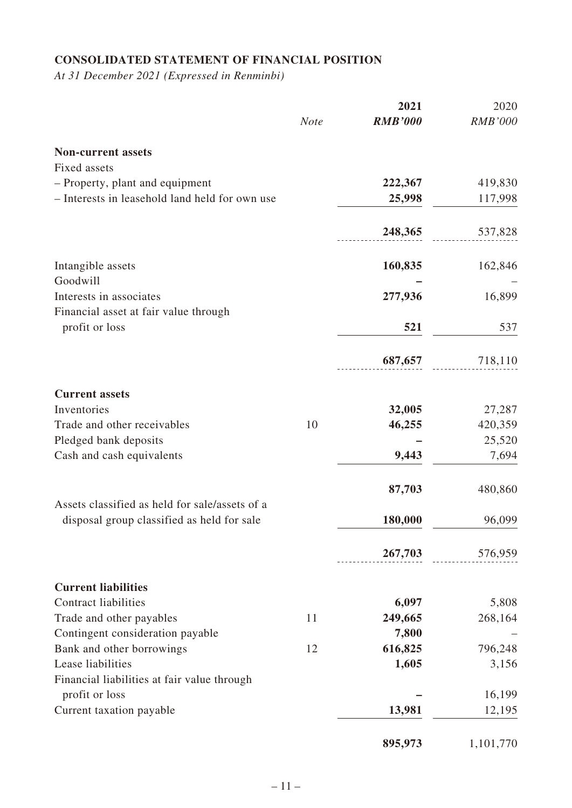# **CONSOLIDATED STATEMENT OF FINANCIAL POSITION**

*At 31 December 2021 (Expressed in Renminbi)*

|                                                |             | 2021           | 2020           |
|------------------------------------------------|-------------|----------------|----------------|
|                                                | <b>Note</b> | <b>RMB'000</b> | <b>RMB'000</b> |
| <b>Non-current assets</b>                      |             |                |                |
| <b>Fixed assets</b>                            |             |                |                |
| - Property, plant and equipment                |             | 222,367        | 419,830        |
| - Interests in leasehold land held for own use |             | 25,998         | 117,998        |
|                                                |             |                |                |
|                                                |             | 248,365        | 537,828        |
| Intangible assets                              |             | 160,835        | 162,846        |
| Goodwill                                       |             |                |                |
| Interests in associates                        |             | 277,936        | 16,899         |
| Financial asset at fair value through          |             |                |                |
| profit or loss                                 |             | 521            | 537            |
|                                                |             | 687,657        |                |
|                                                |             |                | 718,110        |
| <b>Current assets</b>                          |             |                |                |
| Inventories                                    |             | 32,005         | 27,287         |
| Trade and other receivables                    | 10          | 46,255         | 420,359        |
| Pledged bank deposits                          |             |                | 25,520         |
| Cash and cash equivalents                      |             | 9,443          | 7,694          |
|                                                |             | 87,703         | 480,860        |
| Assets classified as held for sale/assets of a |             |                |                |
| disposal group classified as held for sale     |             | 180,000        | 96,099         |
|                                                |             | 267,703        | 576,959        |
| <b>Current liabilities</b>                     |             |                |                |
| <b>Contract liabilities</b>                    |             | 6,097          | 5,808          |
| Trade and other payables                       | 11          | 249,665        | 268,164        |
| Contingent consideration payable               |             | 7,800          |                |
| Bank and other borrowings                      | 12          | 616,825        | 796,248        |
| Lease liabilities                              |             | 1,605          | 3,156          |
| Financial liabilities at fair value through    |             |                |                |
| profit or loss                                 |             |                | 16,199         |
| Current taxation payable                       |             | 13,981         | 12,195         |
|                                                |             | 895,973        | 1,101,770      |
|                                                |             |                |                |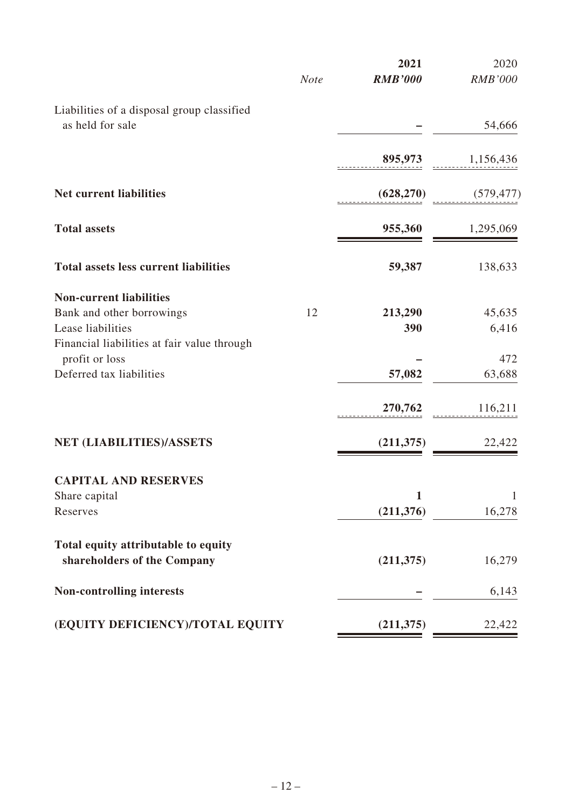|             | 2021                             | 2020           |
|-------------|----------------------------------|----------------|
| <b>Note</b> | <b>RMB'000</b>                   | <b>RMB'000</b> |
|             |                                  |                |
|             |                                  | 54,666         |
|             |                                  |                |
|             | 895,973                          | 1,156,436      |
|             | (628, 270)                       | (579, 477)     |
|             | 955,360                          | 1,295,069      |
|             | 59,387                           | 138,633        |
|             |                                  |                |
| 12          | 213,290                          | 45,635         |
|             | 390                              | 6,416          |
|             |                                  | 472            |
|             |                                  | 63,688         |
|             |                                  |                |
|             | 270,762                          | 116,211        |
|             | (211, 375)                       | 22,422         |
|             |                                  |                |
|             | 1                                | $\mathbf{1}$   |
|             | (211, 376)                       | 16,278         |
|             |                                  |                |
|             | (211, 375)                       | 16,279         |
|             |                                  | 6,143          |
|             | (211,375)                        | 22,422         |
|             | (EQUITY DEFICIENCY)/TOTAL EQUITY | 57,082         |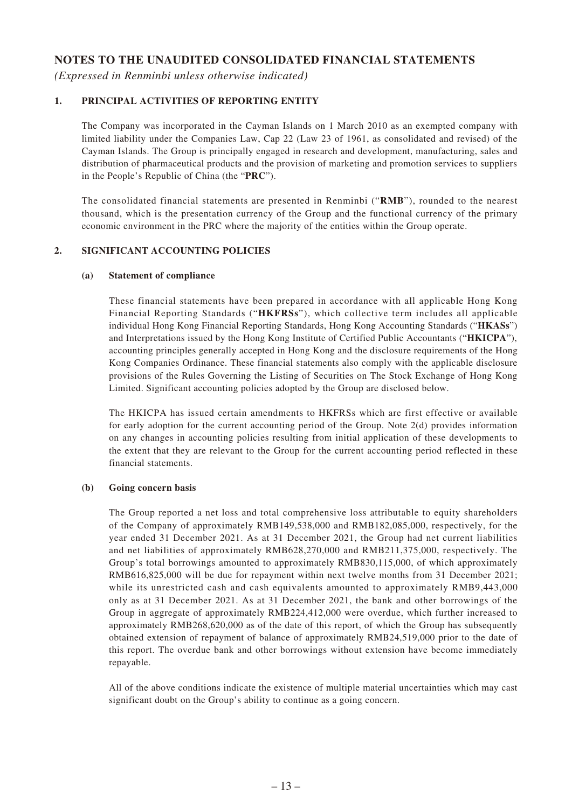### **NOTES TO THE UNAUDITED CONSOLIDATED FINANCIAL STATEMENTS**

*(Expressed in Renminbi unless otherwise indicated)*

### **1. PRINCIPAL ACTIVITIES OF REPORTING ENTITY**

The Company was incorporated in the Cayman Islands on 1 March 2010 as an exempted company with limited liability under the Companies Law, Cap 22 (Law 23 of 1961, as consolidated and revised) of the Cayman Islands. The Group is principally engaged in research and development, manufacturing, sales and distribution of pharmaceutical products and the provision of marketing and promotion services to suppliers in the People's Republic of China (the "**PRC**").

The consolidated financial statements are presented in Renminbi ("**RMB**"), rounded to the nearest thousand, which is the presentation currency of the Group and the functional currency of the primary economic environment in the PRC where the majority of the entities within the Group operate.

### **2. SIGNIFICANT ACCOUNTING POLICIES**

#### **(a) Statement of compliance**

These financial statements have been prepared in accordance with all applicable Hong Kong Financial Reporting Standards ("**HKFRSs**"), which collective term includes all applicable individual Hong Kong Financial Reporting Standards, Hong Kong Accounting Standards ("**HKASs**") and Interpretations issued by the Hong Kong Institute of Certified Public Accountants ("**HKICPA**"), accounting principles generally accepted in Hong Kong and the disclosure requirements of the Hong Kong Companies Ordinance. These financial statements also comply with the applicable disclosure provisions of the Rules Governing the Listing of Securities on The Stock Exchange of Hong Kong Limited. Significant accounting policies adopted by the Group are disclosed below.

The HKICPA has issued certain amendments to HKFRSs which are first effective or available for early adoption for the current accounting period of the Group. Note 2(d) provides information on any changes in accounting policies resulting from initial application of these developments to the extent that they are relevant to the Group for the current accounting period reflected in these financial statements.

#### **(b) Going concern basis**

The Group reported a net loss and total comprehensive loss attributable to equity shareholders of the Company of approximately RMB149,538,000 and RMB182,085,000, respectively, for the year ended 31 December 2021. As at 31 December 2021, the Group had net current liabilities and net liabilities of approximately RMB628,270,000 and RMB211,375,000, respectively. The Group's total borrowings amounted to approximately RMB830,115,000, of which approximately RMB616,825,000 will be due for repayment within next twelve months from 31 December 2021; while its unrestricted cash and cash equivalents amounted to approximately RMB9,443,000 only as at 31 December 2021. As at 31 December 2021, the bank and other borrowings of the Group in aggregate of approximately RMB224,412,000 were overdue, which further increased to approximately RMB268,620,000 as of the date of this report, of which the Group has subsequently obtained extension of repayment of balance of approximately RMB24,519,000 prior to the date of this report. The overdue bank and other borrowings without extension have become immediately repayable.

All of the above conditions indicate the existence of multiple material uncertainties which may cast significant doubt on the Group's ability to continue as a going concern.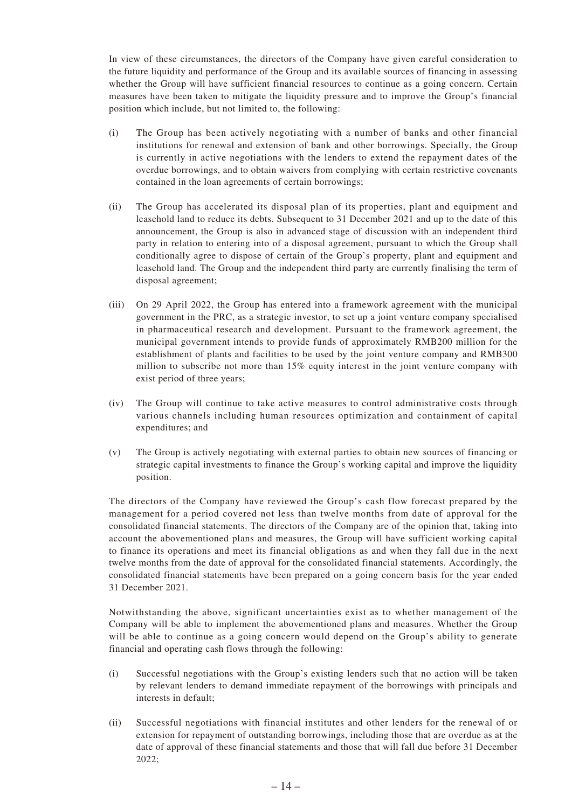In view of these circumstances, the directors of the Company have given careful consideration to the future liquidity and performance of the Group and its available sources of financing in assessing whether the Group will have sufficient financial resources to continue as a going concern. Certain measures have been taken to mitigate the liquidity pressure and to improve the Group's financial position which include, but not limited to, the following:

- (i) The Group has been actively negotiating with a number of banks and other financial institutions for renewal and extension of bank and other borrowings. Specially, the Group is currently in active negotiations with the lenders to extend the repayment dates of the overdue borrowings, and to obtain waivers from complying with certain restrictive covenants contained in the loan agreements of certain borrowings;
- (ii) The Group has accelerated its disposal plan of its properties, plant and equipment and leasehold land to reduce its debts. Subsequent to 31 December 2021 and up to the date of this announcement, the Group is also in advanced stage of discussion with an independent third party in relation to entering into of a disposal agreement, pursuant to which the Group shall conditionally agree to dispose of certain of the Group's property, plant and equipment and leasehold land. The Group and the independent third party are currently finalising the term of disposal agreement;
- (iii) On 29 April 2022, the Group has entered into a framework agreement with the municipal government in the PRC, as a strategic investor, to set up a joint venture company specialised in pharmaceutical research and development. Pursuant to the framework agreement, the municipal government intends to provide funds of approximately RMB200 million for the establishment of plants and facilities to be used by the joint venture company and RMB300 million to subscribe not more than 15% equity interest in the joint venture company with exist period of three years;
- (iv) The Group will continue to take active measures to control administrative costs through various channels including human resources optimization and containment of capital expenditures; and
- (v) The Group is actively negotiating with external parties to obtain new sources of financing or strategic capital investments to finance the Group's working capital and improve the liquidity position.

The directors of the Company have reviewed the Group's cash flow forecast prepared by the management for a period covered not less than twelve months from date of approval for the consolidated financial statements. The directors of the Company are of the opinion that, taking into account the abovementioned plans and measures, the Group will have sufficient working capital to finance its operations and meet its financial obligations as and when they fall due in the next twelve months from the date of approval for the consolidated financial statements. Accordingly, the consolidated financial statements have been prepared on a going concern basis for the year ended 31 December 2021.

Notwithstanding the above, significant uncertainties exist as to whether management of the Company will be able to implement the abovementioned plans and measures. Whether the Group will be able to continue as a going concern would depend on the Group's ability to generate financial and operating cash flows through the following:

- (i) Successful negotiations with the Group's existing lenders such that no action will be taken by relevant lenders to demand immediate repayment of the borrowings with principals and interests in default;
- (ii) Successful negotiations with financial institutes and other lenders for the renewal of or extension for repayment of outstanding borrowings, including those that are overdue as at the date of approval of these financial statements and those that will fall due before 31 December 2022;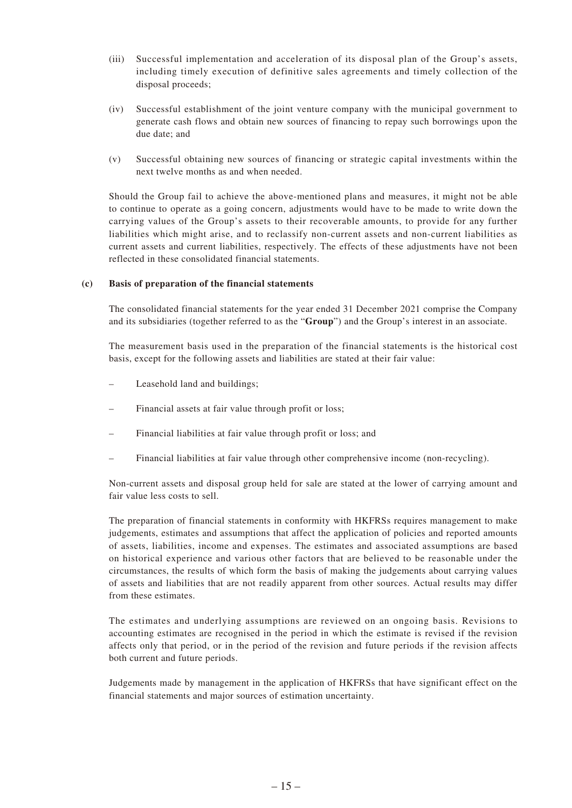- (iii) Successful implementation and acceleration of its disposal plan of the Group's assets, including timely execution of definitive sales agreements and timely collection of the disposal proceeds;
- (iv) Successful establishment of the joint venture company with the municipal government to generate cash flows and obtain new sources of financing to repay such borrowings upon the due date; and
- (v) Successful obtaining new sources of financing or strategic capital investments within the next twelve months as and when needed.

Should the Group fail to achieve the above-mentioned plans and measures, it might not be able to continue to operate as a going concern, adjustments would have to be made to write down the carrying values of the Group's assets to their recoverable amounts, to provide for any further liabilities which might arise, and to reclassify non-current assets and non-current liabilities as current assets and current liabilities, respectively. The effects of these adjustments have not been reflected in these consolidated financial statements.

#### **(c) Basis of preparation of the financial statements**

The consolidated financial statements for the year ended 31 December 2021 comprise the Company and its subsidiaries (together referred to as the "**Group**") and the Group's interest in an associate.

The measurement basis used in the preparation of the financial statements is the historical cost basis, except for the following assets and liabilities are stated at their fair value:

- Leasehold land and buildings;
- Financial assets at fair value through profit or loss;
- Financial liabilities at fair value through profit or loss; and
- Financial liabilities at fair value through other comprehensive income (non-recycling).

Non-current assets and disposal group held for sale are stated at the lower of carrying amount and fair value less costs to sell.

The preparation of financial statements in conformity with HKFRSs requires management to make judgements, estimates and assumptions that affect the application of policies and reported amounts of assets, liabilities, income and expenses. The estimates and associated assumptions are based on historical experience and various other factors that are believed to be reasonable under the circumstances, the results of which form the basis of making the judgements about carrying values of assets and liabilities that are not readily apparent from other sources. Actual results may differ from these estimates.

The estimates and underlying assumptions are reviewed on an ongoing basis. Revisions to accounting estimates are recognised in the period in which the estimate is revised if the revision affects only that period, or in the period of the revision and future periods if the revision affects both current and future periods.

Judgements made by management in the application of HKFRSs that have significant effect on the financial statements and major sources of estimation uncertainty.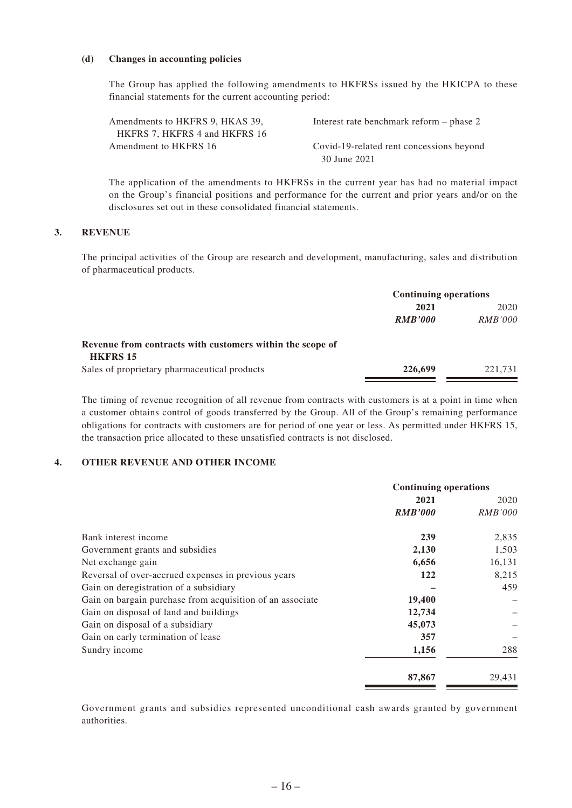#### **(d) Changes in accounting policies**

The Group has applied the following amendments to HKFRSs issued by the HKICPA to these financial statements for the current accounting period:

| Amendments to HKFRS 9, HKAS 39, | Interest rate benchmark reform – phase 2 |
|---------------------------------|------------------------------------------|
| HKFRS 7, HKFRS 4 and HKFRS 16   |                                          |
| Amendment to HKFRS 16           | Covid-19-related rent concessions beyond |
|                                 | 30 June 2021                             |

The application of the amendments to HKFRSs in the current year has had no material impact on the Group's financial positions and performance for the current and prior years and/or on the disclosures set out in these consolidated financial statements.

#### **3. REVENUE**

The principal activities of the Group are research and development, manufacturing, sales and distribution of pharmaceutical products.

|                                                           | <b>Continuing operations</b> |                |
|-----------------------------------------------------------|------------------------------|----------------|
|                                                           | 2021                         | 2020           |
|                                                           | <b>RMB'000</b>               | <b>RMB'000</b> |
| Revenue from contracts with customers within the scope of |                              |                |
| <b>HKFRS 15</b>                                           |                              |                |
| Sales of proprietary pharmaceutical products              | 226,699                      | 221.731        |

The timing of revenue recognition of all revenue from contracts with customers is at a point in time when a customer obtains control of goods transferred by the Group. All of the Group's remaining performance obligations for contracts with customers are for period of one year or less. As permitted under HKFRS 15, the transaction price allocated to these unsatisfied contracts is not disclosed.

#### **4. OTHER REVENUE AND OTHER INCOME**

|                                                           | <b>Continuing operations</b> |                |  |
|-----------------------------------------------------------|------------------------------|----------------|--|
|                                                           | 2021                         | 2020           |  |
|                                                           | <b>RMB'000</b>               | <i>RMB'000</i> |  |
| Bank interest income                                      | 239                          | 2,835          |  |
| Government grants and subsidies                           | 2,130                        | 1,503          |  |
| Net exchange gain                                         | 6,656                        | 16,131         |  |
| Reversal of over-accrued expenses in previous years       | 122                          | 8,215          |  |
| Gain on deregistration of a subsidiary                    |                              | 459            |  |
| Gain on bargain purchase from acquisition of an associate | 19,400                       |                |  |
| Gain on disposal of land and buildings                    | 12,734                       |                |  |
| Gain on disposal of a subsidiary                          | 45,073                       |                |  |
| Gain on early termination of lease                        | 357                          |                |  |
| Sundry income                                             | 1,156                        | 288            |  |
|                                                           | 87,867                       | 29,431         |  |

Government grants and subsidies represented unconditional cash awards granted by government authorities.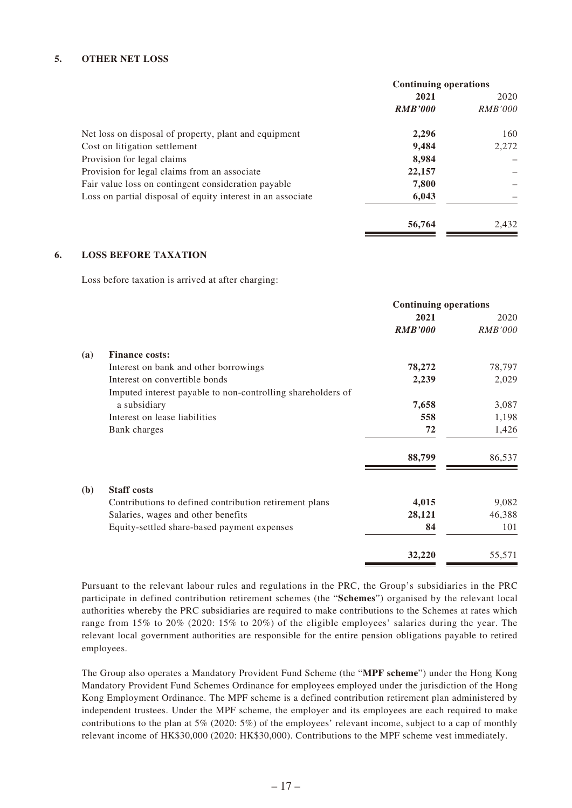#### **5. OTHER NET LOSS**

|                                                                      | <b>Continuing operations</b> |                |
|----------------------------------------------------------------------|------------------------------|----------------|
|                                                                      | 2021                         | 2020           |
|                                                                      | <b>RMB'000</b>               | <b>RMB'000</b> |
| Net loss on disposal of property, plant and equipment                | 2,296                        | 160            |
| Cost on litigation settlement                                        | 9,484                        | 2.272          |
| Provision for legal claims                                           | 8,984                        |                |
| Provision for legal claims from an associate                         | 22,157                       |                |
| Fair value loss on contingent consideration payable                  | 7,800                        |                |
| Loss on partial disposal of equity interest in an associate<br>6,043 |                              |                |
|                                                                      | 56,764                       | 2.432          |

#### **6. LOSS BEFORE TAXATION**

Loss before taxation is arrived at after charging:

|              |                                                             | <b>Continuing operations</b> |                |  |
|--------------|-------------------------------------------------------------|------------------------------|----------------|--|
|              |                                                             | 2021                         | 2020           |  |
|              |                                                             | <b>RMB'000</b>               | <b>RMB'000</b> |  |
| (a)          | <b>Finance costs:</b>                                       |                              |                |  |
|              | Interest on bank and other borrowings                       | 78,272                       | 78,797         |  |
|              | Interest on convertible bonds                               | 2,239                        | 2,029          |  |
|              | Imputed interest payable to non-controlling shareholders of |                              |                |  |
|              | a subsidiary                                                | 7,658                        | 3,087          |  |
|              | Interest on lease liabilities                               | 558                          | 1,198          |  |
|              | Bank charges                                                | 72                           | 1,426          |  |
|              |                                                             | 88,799                       | 86,537         |  |
| ( <b>b</b> ) | <b>Staff costs</b>                                          |                              |                |  |
|              | Contributions to defined contribution retirement plans      | 4,015                        | 9,082          |  |
|              | Salaries, wages and other benefits                          | 28,121                       | 46,388         |  |
|              | Equity-settled share-based payment expenses                 | 84                           | 101            |  |
|              |                                                             | 32,220                       | 55,571         |  |

Pursuant to the relevant labour rules and regulations in the PRC, the Group's subsidiaries in the PRC participate in defined contribution retirement schemes (the "**Schemes**") organised by the relevant local authorities whereby the PRC subsidiaries are required to make contributions to the Schemes at rates which range from 15% to 20% (2020: 15% to 20%) of the eligible employees' salaries during the year. The relevant local government authorities are responsible for the entire pension obligations payable to retired employees.

The Group also operates a Mandatory Provident Fund Scheme (the "**MPF scheme**") under the Hong Kong Mandatory Provident Fund Schemes Ordinance for employees employed under the jurisdiction of the Hong Kong Employment Ordinance. The MPF scheme is a defined contribution retirement plan administered by independent trustees. Under the MPF scheme, the employer and its employees are each required to make contributions to the plan at 5% (2020: 5%) of the employees' relevant income, subject to a cap of monthly relevant income of HK\$30,000 (2020: HK\$30,000). Contributions to the MPF scheme vest immediately.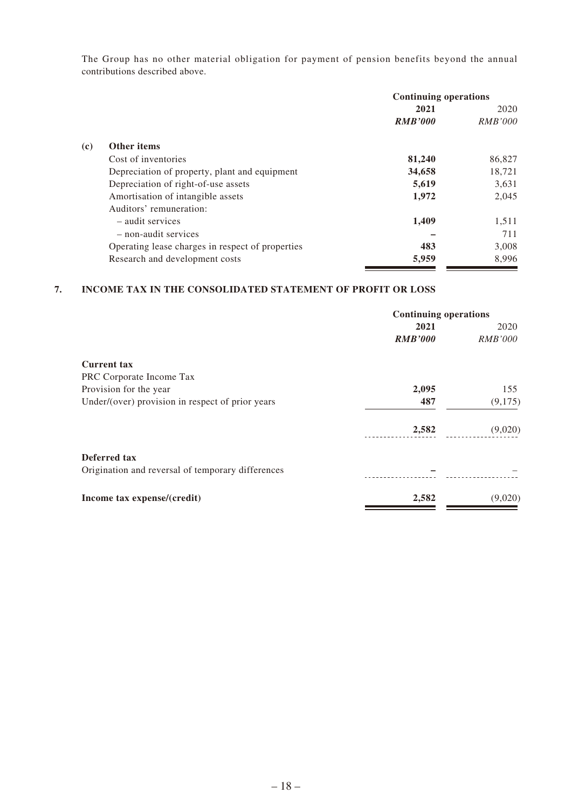The Group has no other material obligation for payment of pension benefits beyond the annual contributions described above.

| <b>Continuing operations</b>                                                                                                                                                                                                                                                                                                        |                |  |
|-------------------------------------------------------------------------------------------------------------------------------------------------------------------------------------------------------------------------------------------------------------------------------------------------------------------------------------|----------------|--|
| 2021                                                                                                                                                                                                                                                                                                                                | 2020           |  |
| <b>RMB'000</b>                                                                                                                                                                                                                                                                                                                      | <i>RMB'000</i> |  |
|                                                                                                                                                                                                                                                                                                                                     |                |  |
| 81,240                                                                                                                                                                                                                                                                                                                              | 86,827         |  |
| 34,658                                                                                                                                                                                                                                                                                                                              | 18,721         |  |
| 5,619                                                                                                                                                                                                                                                                                                                               | 3,631          |  |
| 1,972                                                                                                                                                                                                                                                                                                                               | 2,045          |  |
|                                                                                                                                                                                                                                                                                                                                     |                |  |
| 1,409                                                                                                                                                                                                                                                                                                                               | 1,511          |  |
|                                                                                                                                                                                                                                                                                                                                     | 711            |  |
| 483                                                                                                                                                                                                                                                                                                                                 | 3,008          |  |
| 5,959                                                                                                                                                                                                                                                                                                                               | 8,996          |  |
| <b>Other items</b><br>Cost of inventories<br>Depreciation of property, plant and equipment<br>Depreciation of right-of-use assets<br>Amortisation of intangible assets<br>Auditors' remuneration:<br>- audit services<br>- non-audit services<br>Operating lease charges in respect of properties<br>Research and development costs |                |  |

### **7. INCOME TAX IN THE CONSOLIDATED STATEMENT OF PROFIT OR LOSS**

|                                                   | <b>Continuing operations</b> |                |
|---------------------------------------------------|------------------------------|----------------|
|                                                   | 2021                         | 2020           |
|                                                   | <b>RMB'000</b>               | <i>RMB'000</i> |
| <b>Current tax</b>                                |                              |                |
| PRC Corporate Income Tax                          |                              |                |
| Provision for the year                            | 2,095                        | 155            |
| Under/(over) provision in respect of prior years  | 487                          | (9,175)        |
|                                                   | 2,582                        | (9,020)        |
| Deferred tax                                      |                              |                |
| Origination and reversal of temporary differences |                              |                |
| Income tax expense/(credit)                       | 2,582                        | (9,020)        |
|                                                   |                              |                |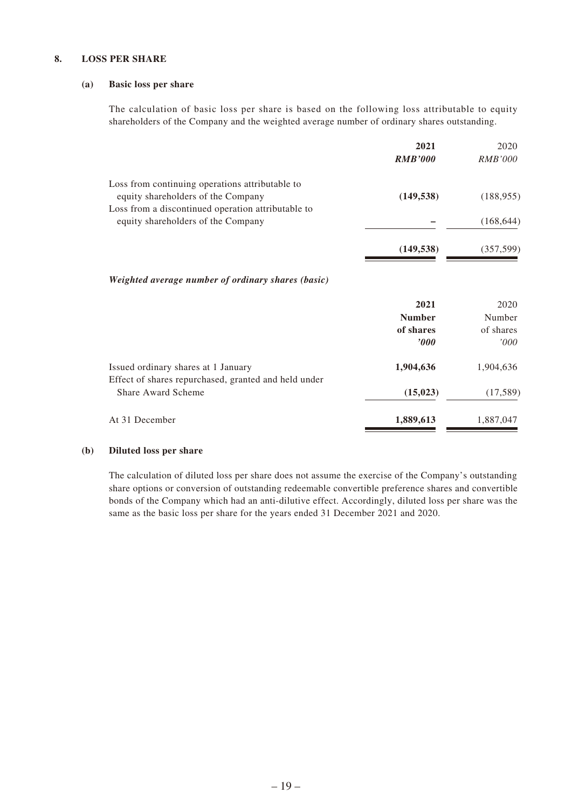#### **8. LOSS PER SHARE**

#### **(a) Basic loss per share**

The calculation of basic loss per share is based on the following loss attributable to equity shareholders of the Company and the weighted average number of ordinary shares outstanding.

|                                                                                             | 2021<br><b>RMB'000</b> | 2020<br><i>RMB'000</i> |
|---------------------------------------------------------------------------------------------|------------------------|------------------------|
| Loss from continuing operations attributable to                                             |                        |                        |
| equity shareholders of the Company                                                          | (149, 538)             | (188, 955)             |
| Loss from a discontinued operation attributable to<br>equity shareholders of the Company    |                        | (168, 644)             |
|                                                                                             | (149, 538)             | (357, 599)             |
| Weighted average number of ordinary shares (basic)                                          |                        |                        |
|                                                                                             | 2021                   | 2020                   |
|                                                                                             | <b>Number</b>          | Number                 |
|                                                                                             | of shares              | of shares              |
|                                                                                             | $\bm{v}$               | '000'                  |
| Issued ordinary shares at 1 January<br>Effect of shares repurchased, granted and held under | 1,904,636              | 1,904,636              |
| <b>Share Award Scheme</b>                                                                   | (15, 023)              | (17,589)               |
| At 31 December                                                                              | 1,889,613              | 1,887,047              |

#### **(b) Diluted loss per share**

The calculation of diluted loss per share does not assume the exercise of the Company's outstanding share options or conversion of outstanding redeemable convertible preference shares and convertible bonds of the Company which had an anti-dilutive effect. Accordingly, diluted loss per share was the same as the basic loss per share for the years ended 31 December 2021 and 2020.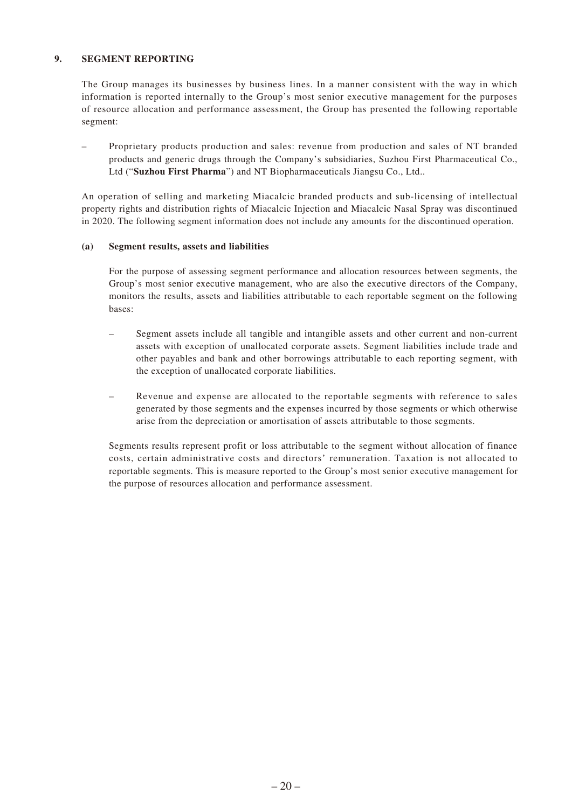#### **9. SEGMENT REPORTING**

The Group manages its businesses by business lines. In a manner consistent with the way in which information is reported internally to the Group's most senior executive management for the purposes of resource allocation and performance assessment, the Group has presented the following reportable segment:

– Proprietary products production and sales: revenue from production and sales of NT branded products and generic drugs through the Company's subsidiaries, Suzhou First Pharmaceutical Co., Ltd ("**Suzhou First Pharma**") and NT Biopharmaceuticals Jiangsu Co., Ltd..

An operation of selling and marketing Miacalcic branded products and sub-licensing of intellectual property rights and distribution rights of Miacalcic Injection and Miacalcic Nasal Spray was discontinued in 2020. The following segment information does not include any amounts for the discontinued operation.

#### **(a) Segment results, assets and liabilities**

For the purpose of assessing segment performance and allocation resources between segments, the Group's most senior executive management, who are also the executive directors of the Company, monitors the results, assets and liabilities attributable to each reportable segment on the following bases:

- Segment assets include all tangible and intangible assets and other current and non-current assets with exception of unallocated corporate assets. Segment liabilities include trade and other payables and bank and other borrowings attributable to each reporting segment, with the exception of unallocated corporate liabilities.
- Revenue and expense are allocated to the reportable segments with reference to sales generated by those segments and the expenses incurred by those segments or which otherwise arise from the depreciation or amortisation of assets attributable to those segments.

Segments results represent profit or loss attributable to the segment without allocation of finance costs, certain administrative costs and directors' remuneration. Taxation is not allocated to reportable segments. This is measure reported to the Group's most senior executive management for the purpose of resources allocation and performance assessment.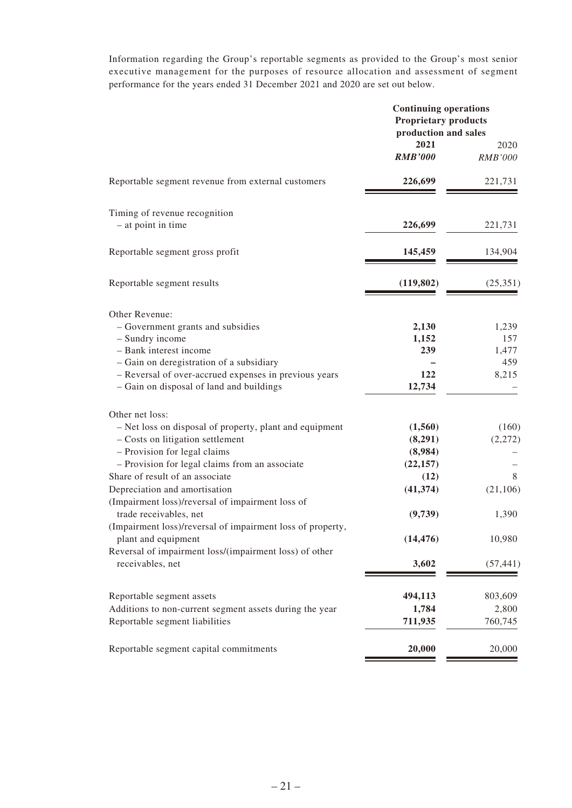Information regarding the Group's reportable segments as provided to the Group's most senior executive management for the purposes of resource allocation and assessment of segment performance for the years ended 31 December 2021 and 2020 are set out below.

|                                                                               | <b>Continuing operations</b><br><b>Proprietary products</b><br>production and sales |           |  |
|-------------------------------------------------------------------------------|-------------------------------------------------------------------------------------|-----------|--|
|                                                                               | 2021                                                                                | 2020      |  |
|                                                                               | <b>RMB'000</b>                                                                      | RMB'000   |  |
| Reportable segment revenue from external customers                            | 226,699                                                                             | 221,731   |  |
| Timing of revenue recognition                                                 |                                                                                     |           |  |
| - at point in time                                                            | 226,699                                                                             | 221,731   |  |
| Reportable segment gross profit                                               | 145,459                                                                             | 134,904   |  |
| Reportable segment results                                                    | (119, 802)                                                                          | (25,351)  |  |
| Other Revenue:                                                                |                                                                                     |           |  |
| - Government grants and subsidies                                             | 2,130                                                                               | 1,239     |  |
| - Sundry income                                                               | 1,152                                                                               | 157       |  |
| - Bank interest income                                                        | 239                                                                                 | 1,477     |  |
| - Gain on deregistration of a subsidiary                                      |                                                                                     | 459       |  |
| - Reversal of over-accrued expenses in previous years                         | 122                                                                                 | 8,215     |  |
| - Gain on disposal of land and buildings                                      | 12,734                                                                              |           |  |
| Other net loss:                                                               |                                                                                     |           |  |
| - Net loss on disposal of property, plant and equipment                       | (1,560)                                                                             | (160)     |  |
| - Costs on litigation settlement                                              | (8,291)                                                                             | (2,272)   |  |
| - Provision for legal claims                                                  | (8,984)                                                                             |           |  |
| - Provision for legal claims from an associate                                | (22, 157)                                                                           |           |  |
| Share of result of an associate                                               | (12)                                                                                | 8         |  |
| Depreciation and amortisation                                                 | (41, 374)                                                                           | (21, 106) |  |
| (Impairment loss)/reversal of impairment loss of                              |                                                                                     |           |  |
| trade receivables, net                                                        | (9,739)                                                                             | 1,390     |  |
| (Impairment loss)/reversal of impairment loss of property,                    |                                                                                     | 10,980    |  |
| plant and equipment<br>Reversal of impairment loss/(impairment loss) of other | (14, 476)                                                                           |           |  |
| receivables, net                                                              | 3,602                                                                               | (57, 441) |  |
|                                                                               |                                                                                     |           |  |
| Reportable segment assets                                                     | 494,113                                                                             | 803,609   |  |
| Additions to non-current segment assets during the year                       | 1,784                                                                               | 2,800     |  |
| Reportable segment liabilities                                                | 711,935                                                                             | 760,745   |  |
| Reportable segment capital commitments                                        | 20,000                                                                              | 20,000    |  |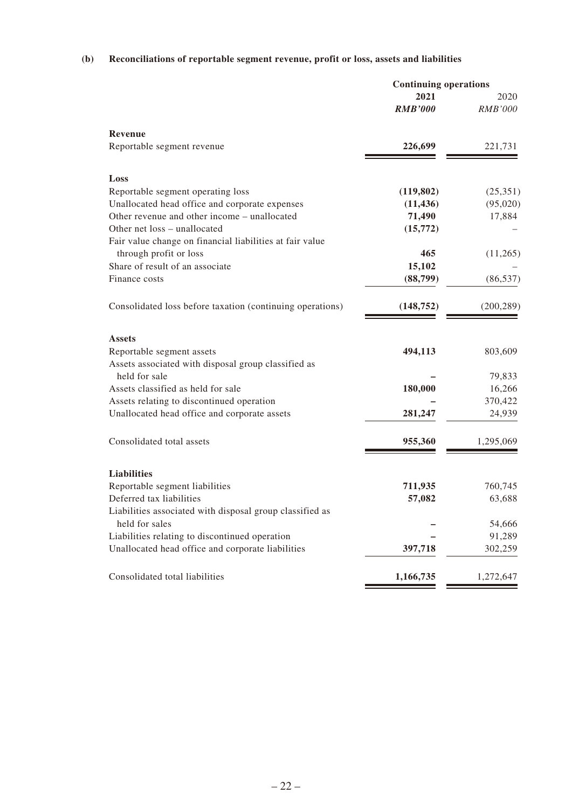# **(b) Reconciliations of reportable segment revenue, profit or loss, assets and liabilities**

|                                                           | <b>Continuing operations</b> |            |
|-----------------------------------------------------------|------------------------------|------------|
|                                                           | 2021                         | 2020       |
|                                                           | <b>RMB'000</b>               | RMB'000    |
| Revenue                                                   |                              |            |
| Reportable segment revenue                                | 226,699                      | 221,731    |
| Loss                                                      |                              |            |
| Reportable segment operating loss                         | (119, 802)                   | (25,351)   |
| Unallocated head office and corporate expenses            | (11, 436)                    | (95,020)   |
| Other revenue and other income – unallocated              | 71,490                       | 17,884     |
| Other net loss - unallocated                              | (15,772)                     |            |
| Fair value change on financial liabilities at fair value  |                              |            |
| through profit or loss                                    | 465                          | (11,265)   |
| Share of result of an associate                           | 15,102                       |            |
| Finance costs                                             | (88,799)                     | (86, 537)  |
| Consolidated loss before taxation (continuing operations) | (148, 752)                   | (200, 289) |
| <b>Assets</b>                                             |                              |            |
| Reportable segment assets                                 | 494,113                      | 803,609    |
| Assets associated with disposal group classified as       |                              |            |
| held for sale                                             |                              | 79,833     |
| Assets classified as held for sale                        | 180,000                      | 16,266     |
| Assets relating to discontinued operation                 |                              | 370,422    |
| Unallocated head office and corporate assets              | 281,247                      | 24,939     |
| Consolidated total assets                                 | 955,360                      | 1,295,069  |
| <b>Liabilities</b>                                        |                              |            |
| Reportable segment liabilities                            | 711,935                      | 760,745    |
| Deferred tax liabilities                                  | 57,082                       | 63,688     |
| Liabilities associated with disposal group classified as  |                              |            |
| held for sales                                            |                              | 54,666     |
| Liabilities relating to discontinued operation            |                              | 91,289     |
| Unallocated head office and corporate liabilities         | 397,718                      | 302,259    |
|                                                           |                              | 1,272,647  |
| Consolidated total liabilities                            | 1,166,735                    |            |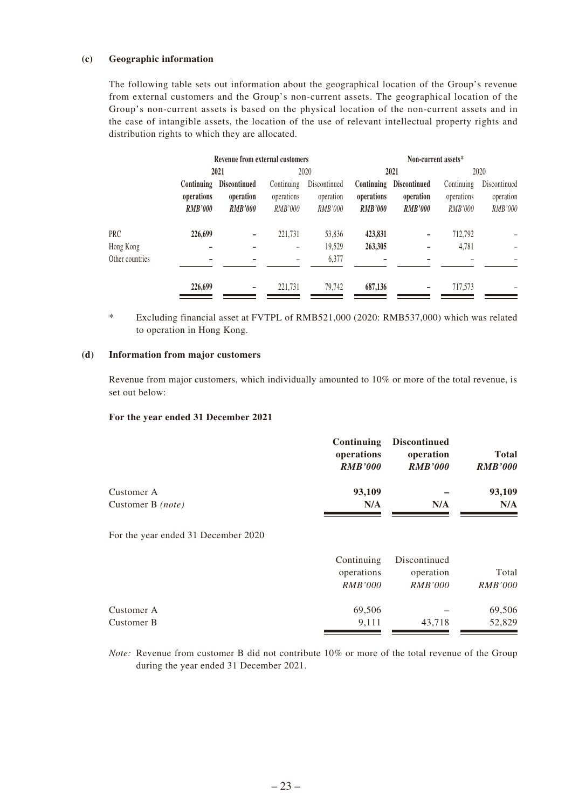#### **(c) Geographic information**

The following table sets out information about the geographical location of the Group's revenue from external customers and the Group's non-current assets. The geographical location of the Group's non-current assets is based on the physical location of the non-current assets and in the case of intangible assets, the location of the use of relevant intellectual property rights and distribution rights to which they are allocated.

|                 |                                            | Revenue from external customers                    |                                            |                                      |                                            | Non-current assets*                                |                                     |                                      |
|-----------------|--------------------------------------------|----------------------------------------------------|--------------------------------------------|--------------------------------------|--------------------------------------------|----------------------------------------------------|-------------------------------------|--------------------------------------|
|                 |                                            | 2021                                               |                                            | 2020                                 |                                            | 2021                                               |                                     | 2020                                 |
|                 | Continuing<br>operations<br><b>RMB'000</b> | <b>Discontinued</b><br>operation<br><b>RMB'000</b> | Continuing<br>operations<br><b>RMB'000</b> | Discontinued<br>operation<br>RMB'000 | Continuing<br>operations<br><b>RMB'000</b> | <b>Discontinued</b><br>operation<br><b>RMB'000</b> | Continuing<br>operations<br>RMB'000 | Discontinued<br>operation<br>RMB'000 |
| PRC             | 226,699                                    |                                                    | 221,731                                    | 53,836                               | 423,831                                    |                                                    | 712,792                             |                                      |
| Hong Kong       |                                            |                                                    |                                            | 19,529                               | 263,305                                    |                                                    | 4,781                               |                                      |
| Other countries |                                            |                                                    |                                            | 6,377                                |                                            |                                                    |                                     |                                      |
|                 | 226,699                                    | $\overline{\phantom{0}}$                           | 221,731                                    | 79,742                               | 687,136                                    |                                                    | 717,573                             |                                      |

\* Excluding financial asset at FVTPL of RMB521,000 (2020: RMB537,000) which was related to operation in Hong Kong.

#### **(d) Information from major customers**

Revenue from major customers, which individually amounted to 10% or more of the total revenue, is set out below:

#### **For the year ended 31 December 2021**

|                   | <b>Continuing</b><br>operations<br><b>RMB'000</b> | <b>Discontinued</b><br>operation<br><b>RMB'000</b> | <b>Total</b><br><b>RMB'000</b> |
|-------------------|---------------------------------------------------|----------------------------------------------------|--------------------------------|
| Customer A        | 93,109                                            |                                                    | 93,109                         |
| Customer B (note) | N/A                                               | N/A                                                | N/A                            |

For the year ended 31 December 2020

|            | Continuing     | Discontinued   |                |
|------------|----------------|----------------|----------------|
|            | operations     | operation      | Total          |
|            | <i>RMB'000</i> | <i>RMB'000</i> | <i>RMB'000</i> |
| Customer A | 69,506         |                | 69,506         |
| Customer B | 9.111          | 43,718         | 52,829         |

*Note:* Revenue from customer B did not contribute 10% or more of the total revenue of the Group during the year ended 31 December 2021.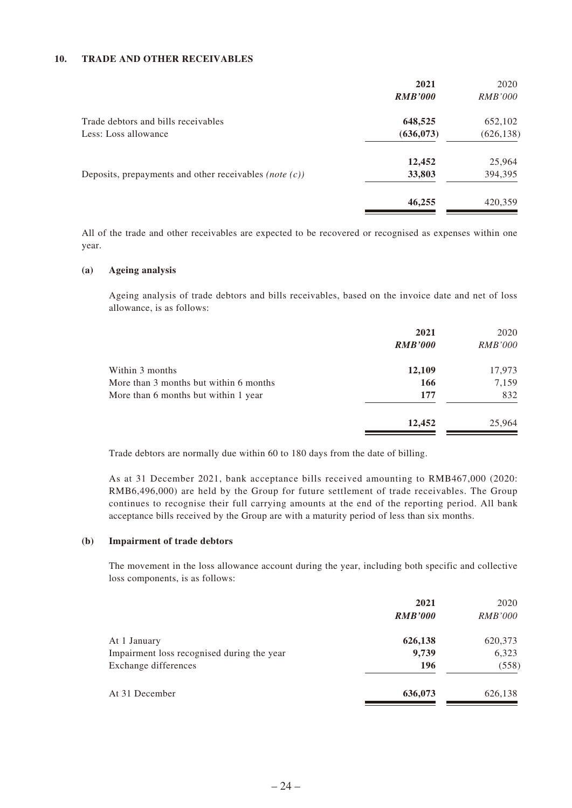#### **10. TRADE AND OTHER RECEIVABLES**

|                                                           | 2021           | 2020           |
|-----------------------------------------------------------|----------------|----------------|
|                                                           | <b>RMB'000</b> | <i>RMB'000</i> |
| Trade debtors and bills receivables                       | 648,525        | 652,102        |
| Less: Loss allowance                                      | (636, 073)     | (626, 138)     |
|                                                           | 12,452         | 25,964         |
| Deposits, prepayments and other receivables (note $(c)$ ) | 33,803         | 394,395        |
|                                                           | 46,255         | 420,359        |

All of the trade and other receivables are expected to be recovered or recognised as expenses within one year.

#### **(a) Ageing analysis**

Ageing analysis of trade debtors and bills receivables, based on the invoice date and net of loss allowance, is as follows:

|                                        | 2021           | 2020           |
|----------------------------------------|----------------|----------------|
|                                        | <b>RMB'000</b> | <i>RMB'000</i> |
| Within 3 months                        | 12,109         | 17,973         |
| More than 3 months but within 6 months | 166            | 7,159          |
| More than 6 months but within 1 year   | 177            | 832            |
|                                        | 12,452         | 25,964         |
|                                        |                |                |

Trade debtors are normally due within 60 to 180 days from the date of billing.

As at 31 December 2021, bank acceptance bills received amounting to RMB467,000 (2020: RMB6,496,000) are held by the Group for future settlement of trade receivables. The Group continues to recognise their full carrying amounts at the end of the reporting period. All bank acceptance bills received by the Group are with a maturity period of less than six months.

#### **(b) Impairment of trade debtors**

The movement in the loss allowance account during the year, including both specific and collective loss components, is as follows:

|                                            | 2021           | 2020           |
|--------------------------------------------|----------------|----------------|
|                                            | <b>RMB'000</b> | <i>RMB'000</i> |
| At 1 January                               | 626,138        | 620,373        |
| Impairment loss recognised during the year | 9,739          | 6,323          |
| Exchange differences                       | 196            | (558)          |
| At 31 December                             | 636,073        | 626,138        |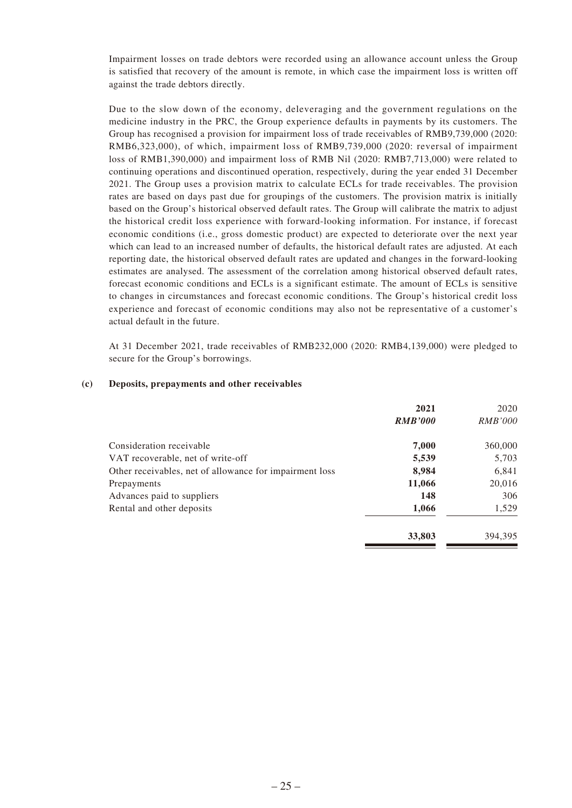Impairment losses on trade debtors were recorded using an allowance account unless the Group is satisfied that recovery of the amount is remote, in which case the impairment loss is written off against the trade debtors directly.

Due to the slow down of the economy, deleveraging and the government regulations on the medicine industry in the PRC, the Group experience defaults in payments by its customers. The Group has recognised a provision for impairment loss of trade receivables of RMB9,739,000 (2020: RMB6,323,000), of which, impairment loss of RMB9,739,000 (2020: reversal of impairment loss of RMB1,390,000) and impairment loss of RMB Nil (2020: RMB7,713,000) were related to continuing operations and discontinued operation, respectively, during the year ended 31 December 2021. The Group uses a provision matrix to calculate ECLs for trade receivables. The provision rates are based on days past due for groupings of the customers. The provision matrix is initially based on the Group's historical observed default rates. The Group will calibrate the matrix to adjust the historical credit loss experience with forward-looking information. For instance, if forecast economic conditions (i.e., gross domestic product) are expected to deteriorate over the next year which can lead to an increased number of defaults, the historical default rates are adjusted. At each reporting date, the historical observed default rates are updated and changes in the forward-looking estimates are analysed. The assessment of the correlation among historical observed default rates, forecast economic conditions and ECLs is a significant estimate. The amount of ECLs is sensitive to changes in circumstances and forecast economic conditions. The Group's historical credit loss experience and forecast of economic conditions may also not be representative of a customer's actual default in the future.

At 31 December 2021, trade receivables of RMB232,000 (2020: RMB4,139,000) were pledged to secure for the Group's borrowings.

#### **(c) Deposits, prepayments and other receivables**

|                                                         | 2021           | 2020           |
|---------------------------------------------------------|----------------|----------------|
|                                                         | <b>RMB'000</b> | <i>RMB'000</i> |
| Consideration receivable                                | 7,000          | 360,000        |
| VAT recoverable, net of write-off                       | 5,539          | 5,703          |
| Other receivables, net of allowance for impairment loss | 8,984          | 6,841          |
| Prepayments                                             | 11,066         | 20,016         |
| Advances paid to suppliers                              | 148            | 306            |
| Rental and other deposits                               | 1,066          | 1,529          |
|                                                         | 33,803         | 394.395        |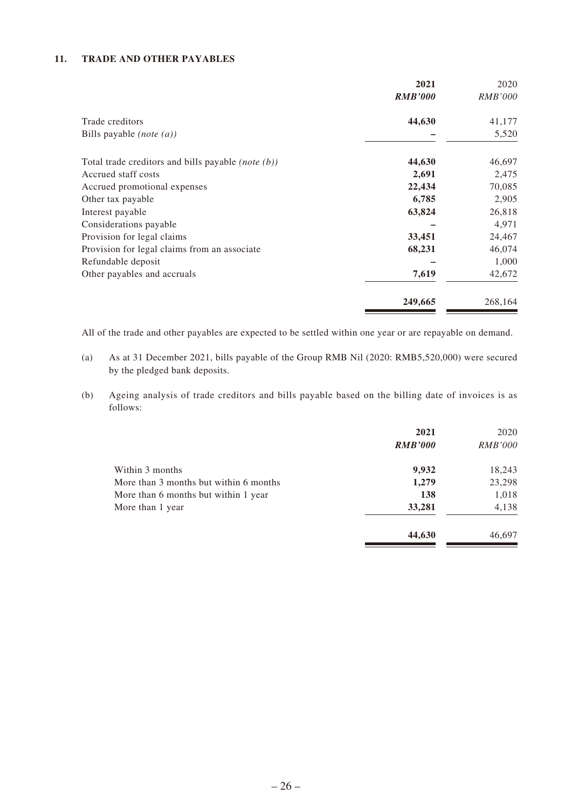### **11. TRADE AND OTHER PAYABLES**

|                                                               | 2021           | 2020           |
|---------------------------------------------------------------|----------------|----------------|
|                                                               | <b>RMB'000</b> | <i>RMB'000</i> |
| Trade creditors                                               | 44,630         | 41,177         |
| Bills payable $(note(a))$                                     |                | 5,520          |
|                                                               |                |                |
| Total trade creditors and bills payable ( <i>note</i> $(b)$ ) | 44,630         | 46,697         |
| Accrued staff costs                                           | 2,691          | 2,475          |
| Accrued promotional expenses                                  | 22,434         | 70,085         |
| Other tax payable                                             | 6,785          | 2,905          |
| Interest payable                                              | 63,824         | 26,818         |
| Considerations payable                                        |                | 4,971          |
| Provision for legal claims                                    | 33,451         | 24,467         |
| Provision for legal claims from an associate                  | 68,231         | 46,074         |
| Refundable deposit                                            |                | 1,000          |
| Other payables and accruals                                   | 7,619          | 42,672         |
|                                                               | 249,665        | 268,164        |

All of the trade and other payables are expected to be settled within one year or are repayable on demand.

- (a) As at 31 December 2021, bills payable of the Group RMB Nil (2020: RMB5,520,000) were secured by the pledged bank deposits.
- (b) Ageing analysis of trade creditors and bills payable based on the billing date of invoices is as follows:

|                                        | 2021<br><b>RMB'000</b> | 2020<br><i>RMB'000</i> |
|----------------------------------------|------------------------|------------------------|
| Within 3 months                        | 9,932                  | 18,243                 |
| More than 3 months but within 6 months | 1,279                  | 23,298                 |
| More than 6 months but within 1 year   | 138                    | 1,018                  |
| More than 1 year                       | 33,281                 | 4,138                  |
|                                        | 44,630                 | 46,697                 |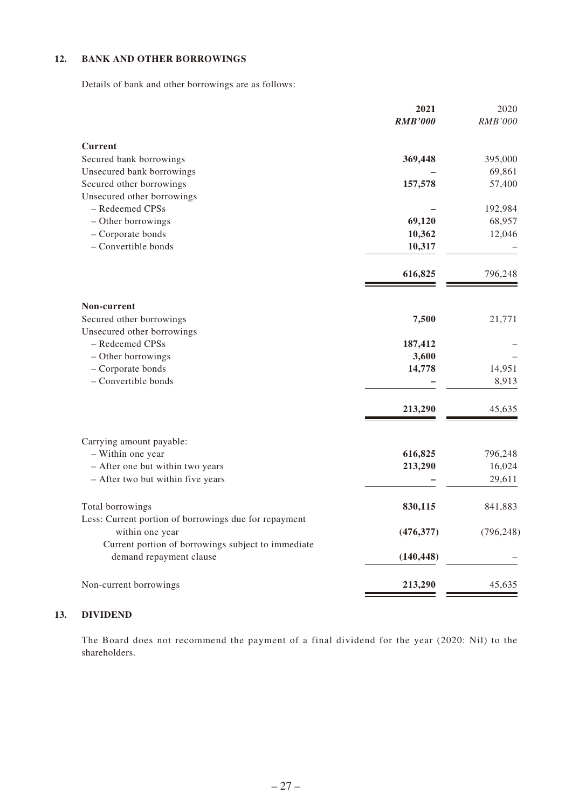### **12. BANK AND OTHER BORROWINGS**

Details of bank and other borrowings are as follows:

|                                                                               | 2021           | 2020       |
|-------------------------------------------------------------------------------|----------------|------------|
|                                                                               | <b>RMB'000</b> | RMB'000    |
| <b>Current</b>                                                                |                |            |
| Secured bank borrowings                                                       | 369,448        | 395,000    |
| Unsecured bank borrowings                                                     |                | 69,861     |
| Secured other borrowings                                                      | 157,578        | 57,400     |
| Unsecured other borrowings                                                    |                |            |
| - Redeemed CPSs                                                               |                | 192,984    |
| - Other borrowings                                                            | 69,120         | 68,957     |
| - Corporate bonds                                                             | 10,362         | 12,046     |
| - Convertible bonds                                                           | 10,317         |            |
|                                                                               | 616,825        | 796,248    |
| Non-current                                                                   |                |            |
| Secured other borrowings                                                      | 7,500          | 21,771     |
| Unsecured other borrowings                                                    |                |            |
| - Redeemed CPSs                                                               | 187,412        |            |
| - Other borrowings                                                            | 3,600          |            |
| - Corporate bonds                                                             | 14,778         | 14,951     |
| - Convertible bonds                                                           |                | 8,913      |
|                                                                               | 213,290        | 45,635     |
| Carrying amount payable:                                                      |                |            |
| - Within one year                                                             | 616,825        | 796,248    |
| - After one but within two years                                              | 213,290        | 16,024     |
| - After two but within five years                                             |                | 29,611     |
| Total borrowings                                                              | 830,115        | 841,883    |
| Less: Current portion of borrowings due for repayment                         |                |            |
| within one year                                                               | (476, 377)     | (796, 248) |
| Current portion of borrowings subject to immediate<br>demand repayment clause | (140, 448)     |            |
| Non-current borrowings                                                        | 213,290        | 45,635     |

### **13. DIVIDEND**

The Board does not recommend the payment of a final dividend for the year (2020: Nil) to the shareholders.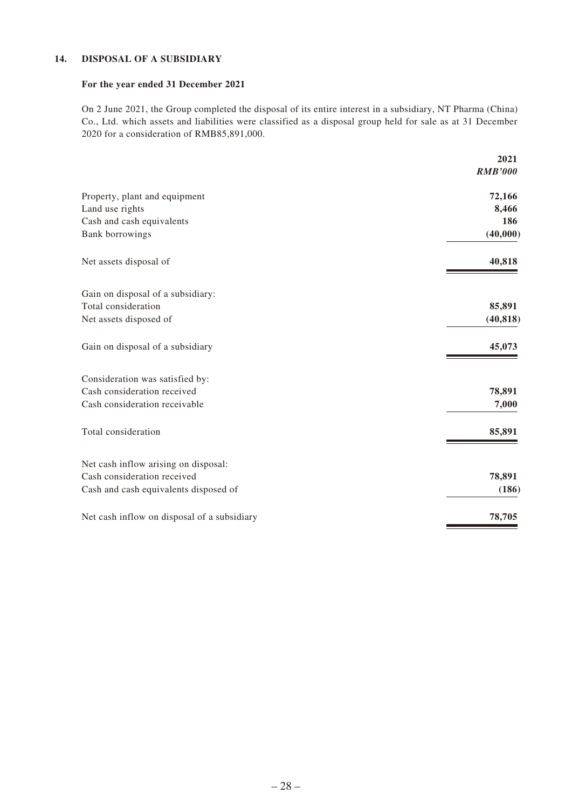#### **14. DISPOSAL OF A SUBSIDIARY**

#### **For the year ended 31 December 2021**

On 2 June 2021, the Group completed the disposal of its entire interest in a subsidiary, NT Pharma (China) Co., Ltd. which assets and liabilities were classified as a disposal group held for sale as at 31 December 2020 for a consideration of RMB85,891,000.

|                                             | 2021<br><b>RMB'000</b> |
|---------------------------------------------|------------------------|
|                                             |                        |
| Property, plant and equipment               | 72,166                 |
| Land use rights                             | 8,466                  |
| Cash and cash equivalents                   | 186                    |
| Bank borrowings                             | (40,000)               |
| Net assets disposal of                      | 40,818                 |
| Gain on disposal of a subsidiary:           |                        |
| Total consideration                         | 85,891                 |
| Net assets disposed of                      | (40, 818)              |
| Gain on disposal of a subsidiary            | 45,073                 |
| Consideration was satisfied by:             |                        |
| Cash consideration received                 | 78,891                 |
| Cash consideration receivable               | 7,000                  |
| Total consideration                         | 85,891                 |
| Net cash inflow arising on disposal:        |                        |
| Cash consideration received                 | 78,891                 |
| Cash and cash equivalents disposed of       | (186)                  |
| Net cash inflow on disposal of a subsidiary | 78,705                 |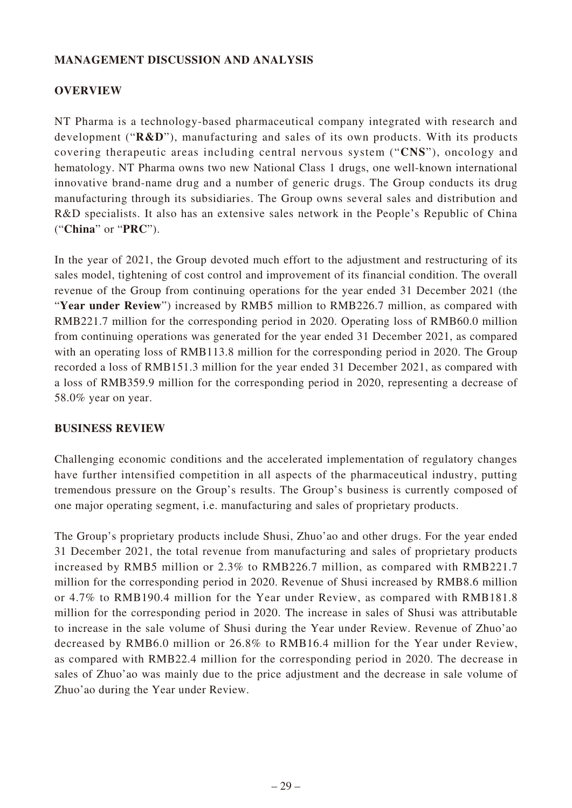# **MANAGEMENT DISCUSSION AND ANALYSIS**

# **OVERVIEW**

NT Pharma is a technology-based pharmaceutical company integrated with research and development ("**R&D**"), manufacturing and sales of its own products. With its products covering therapeutic areas including central nervous system ("**CNS**"), oncology and hematology. NT Pharma owns two new National Class 1 drugs, one well-known international innovative brand-name drug and a number of generic drugs. The Group conducts its drug manufacturing through its subsidiaries. The Group owns several sales and distribution and R&D specialists. It also has an extensive sales network in the People's Republic of China ("**China**" or "**PRC**").

In the year of 2021, the Group devoted much effort to the adjustment and restructuring of its sales model, tightening of cost control and improvement of its financial condition. The overall revenue of the Group from continuing operations for the year ended 31 December 2021 (the "Year under Review") increased by RMB5 million to RMB226.7 million, as compared with RMB221.7 million for the corresponding period in 2020. Operating loss of RMB60.0 million from continuing operations was generated for the year ended 31 December 2021, as compared with an operating loss of RMB113.8 million for the corresponding period in 2020. The Group recorded a loss of RMB151.3 million for the year ended 31 December 2021, as compared with a loss of RMB359.9 million for the corresponding period in 2020, representing a decrease of 58.0% year on year.

### **BUSINESS REVIEW**

Challenging economic conditions and the accelerated implementation of regulatory changes have further intensified competition in all aspects of the pharmaceutical industry, putting tremendous pressure on the Group's results. The Group's business is currently composed of one major operating segment, i.e. manufacturing and sales of proprietary products.

The Group's proprietary products include Shusi, Zhuo'ao and other drugs. For the year ended 31 December 2021, the total revenue from manufacturing and sales of proprietary products increased by RMB5 million or 2.3% to RMB226.7 million, as compared with RMB221.7 million for the corresponding period in 2020. Revenue of Shusi increased by RMB8.6 million or 4.7% to RMB190.4 million for the Year under Review, as compared with RMB181.8 million for the corresponding period in 2020. The increase in sales of Shusi was attributable to increase in the sale volume of Shusi during the Year under Review. Revenue of Zhuo'ao decreased by RMB6.0 million or 26.8% to RMB16.4 million for the Year under Review, as compared with RMB22.4 million for the corresponding period in 2020. The decrease in sales of Zhuo'ao was mainly due to the price adjustment and the decrease in sale volume of Zhuo'ao during the Year under Review.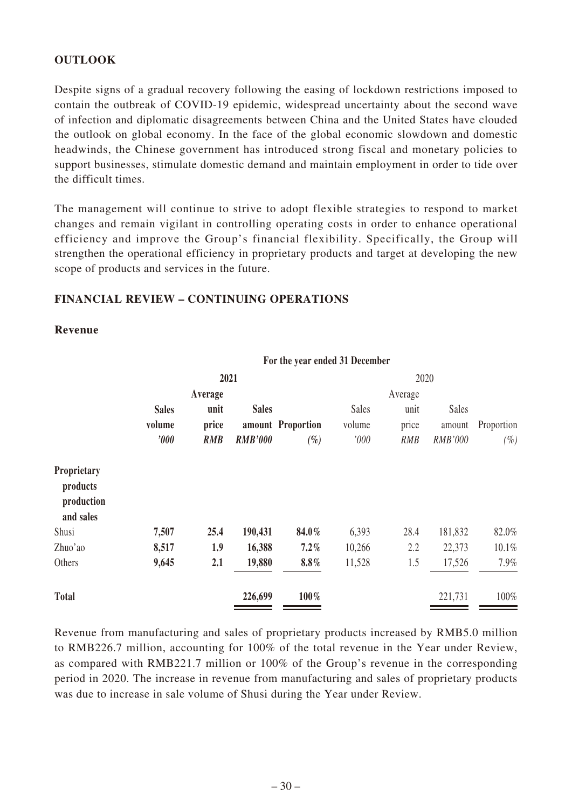# **OUTLOOK**

Despite signs of a gradual recovery following the easing of lockdown restrictions imposed to contain the outbreak of COVID-19 epidemic, widespread uncertainty about the second wave of infection and diplomatic disagreements between China and the United States have clouded the outlook on global economy. In the face of the global economic slowdown and domestic headwinds, the Chinese government has introduced strong fiscal and monetary policies to support businesses, stimulate domestic demand and maintain employment in order to tide over the difficult times.

The management will continue to strive to adopt flexible strategies to respond to market changes and remain vigilant in controlling operating costs in order to enhance operational efficiency and improve the Group's financial flexibility. Specifically, the Group will strengthen the operational efficiency in proprietary products and target at developing the new scope of products and services in the future.

**For the year ended 31 December**

### **FINANCIAL REVIEW – CONTINUING OPERATIONS**

### **Revenue**

|                                                    |              |         |                | 1 of the year ended of December |              |            |         |            |
|----------------------------------------------------|--------------|---------|----------------|---------------------------------|--------------|------------|---------|------------|
|                                                    |              |         | 2021           |                                 |              | 2020       |         |            |
|                                                    |              | Average |                |                                 |              | Average    |         |            |
|                                                    | <b>Sales</b> | unit    | <b>Sales</b>   |                                 | <b>Sales</b> | unit       | Sales   |            |
|                                                    | volume       | price   |                | amount Proportion               | volume       | price      | amount  | Proportion |
|                                                    | '000         | RMB     | <b>RMB'000</b> | $(\%)$                          | '000         | <b>RMB</b> | RMB'000 | $(\%)$     |
| Proprietary<br>products<br>production<br>and sales |              |         |                |                                 |              |            |         |            |
| Shusi                                              | 7,507        | 25.4    | 190,431        | 84.0%                           | 6,393        | 28.4       | 181,832 | 82.0%      |
| Zhuo'ao                                            | 8,517        | 1.9     | 16,388         | $7.2\%$                         | 10,266       | 2.2        | 22,373  | 10.1%      |
| Others                                             | 9,645        | 2.1     | 19,880         | $8.8\%$                         | 11,528       | 1.5        | 17,526  | 7.9%       |
| <b>Total</b>                                       |              |         | 226,699        | 100%                            |              |            | 221,731 | 100%       |

Revenue from manufacturing and sales of proprietary products increased by RMB5.0 million to RMB226.7 million, accounting for 100% of the total revenue in the Year under Review, as compared with RMB221.7 million or 100% of the Group's revenue in the corresponding period in 2020. The increase in revenue from manufacturing and sales of proprietary products was due to increase in sale volume of Shusi during the Year under Review.

### $-30-$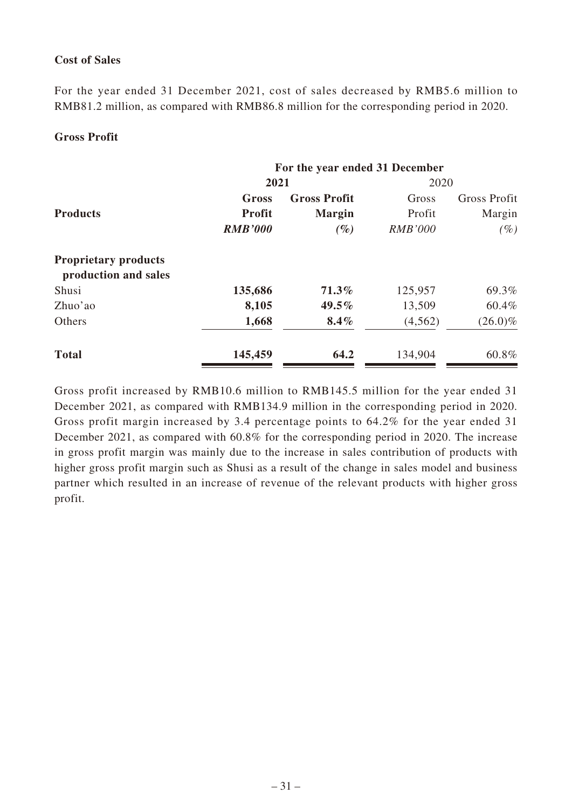# **Cost of Sales**

For the year ended 31 December 2021, cost of sales decreased by RMB5.6 million to RMB81.2 million, as compared with RMB86.8 million for the corresponding period in 2020.

### **Gross Profit**

|                                                     | For the year ended 31 December |                     |                |                     |
|-----------------------------------------------------|--------------------------------|---------------------|----------------|---------------------|
|                                                     | 2021                           |                     | 2020           |                     |
|                                                     | Gross                          | <b>Gross Profit</b> | Gross          | <b>Gross Profit</b> |
| <b>Products</b>                                     | <b>Profit</b>                  | <b>Margin</b>       | Profit         | Margin              |
|                                                     | <b>RMB'000</b>                 | $(\%)$              | <b>RMB'000</b> | $(\%)$              |
| <b>Proprietary products</b><br>production and sales |                                |                     |                |                     |
| Shusi                                               | 135,686                        | $71.3\%$            | 125,957        | 69.3%               |
| Zhuo'ao                                             | 8,105                          | 49.5%               | 13,509         | 60.4%               |
| Others                                              | 1,668                          | $8.4\%$             | (4,562)        | $(26.0)\%$          |
| <b>Total</b>                                        | 145,459                        | 64.2                | 134,904        | 60.8%               |

Gross profit increased by RMB10.6 million to RMB145.5 million for the year ended 31 December 2021, as compared with RMB134.9 million in the corresponding period in 2020. Gross profit margin increased by 3.4 percentage points to 64.2% for the year ended 31 December 2021, as compared with 60.8% for the corresponding period in 2020. The increase in gross profit margin was mainly due to the increase in sales contribution of products with higher gross profit margin such as Shusi as a result of the change in sales model and business partner which resulted in an increase of revenue of the relevant products with higher gross profit.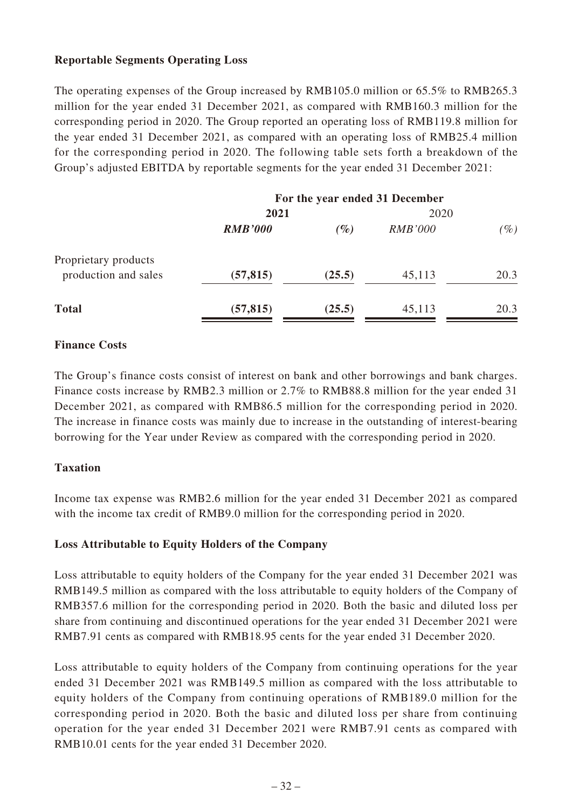## **Reportable Segments Operating Loss**

The operating expenses of the Group increased by RMB105.0 million or 65.5% to RMB265.3 million for the year ended 31 December 2021, as compared with RMB160.3 million for the corresponding period in 2020. The Group reported an operating loss of RMB119.8 million for the year ended 31 December 2021, as compared with an operating loss of RMB25.4 million for the corresponding period in 2020. The following table sets forth a breakdown of the Group's adjusted EBITDA by reportable segments for the year ended 31 December 2021:

|                                              | For the year ended 31 December |        |                |        |
|----------------------------------------------|--------------------------------|--------|----------------|--------|
|                                              | 2021                           |        | 2020           |        |
|                                              | <b>RMB'000</b>                 | $(\%)$ | <b>RMB'000</b> | $(\%)$ |
| Proprietary products<br>production and sales | (57, 815)                      | (25.5) | 45,113         | 20.3   |
|                                              |                                |        |                |        |
| <b>Total</b>                                 | (57, 815)                      | (25.5) | 45,113         | 20.3   |

# **Finance Costs**

The Group's finance costs consist of interest on bank and other borrowings and bank charges. Finance costs increase by RMB2.3 million or 2.7% to RMB88.8 million for the year ended 31 December 2021, as compared with RMB86.5 million for the corresponding period in 2020. The increase in finance costs was mainly due to increase in the outstanding of interest-bearing borrowing for the Year under Review as compared with the corresponding period in 2020.

### **Taxation**

Income tax expense was RMB2.6 million for the year ended 31 December 2021 as compared with the income tax credit of RMB9.0 million for the corresponding period in 2020.

### **Loss Attributable to Equity Holders of the Company**

Loss attributable to equity holders of the Company for the year ended 31 December 2021 was RMB149.5 million as compared with the loss attributable to equity holders of the Company of RMB357.6 million for the corresponding period in 2020. Both the basic and diluted loss per share from continuing and discontinued operations for the year ended 31 December 2021 were RMB7.91 cents as compared with RMB18.95 cents for the year ended 31 December 2020.

Loss attributable to equity holders of the Company from continuing operations for the year ended 31 December 2021 was RMB149.5 million as compared with the loss attributable to equity holders of the Company from continuing operations of RMB189.0 million for the corresponding period in 2020. Both the basic and diluted loss per share from continuing operation for the year ended 31 December 2021 were RMB7.91 cents as compared with RMB10.01 cents for the year ended 31 December 2020.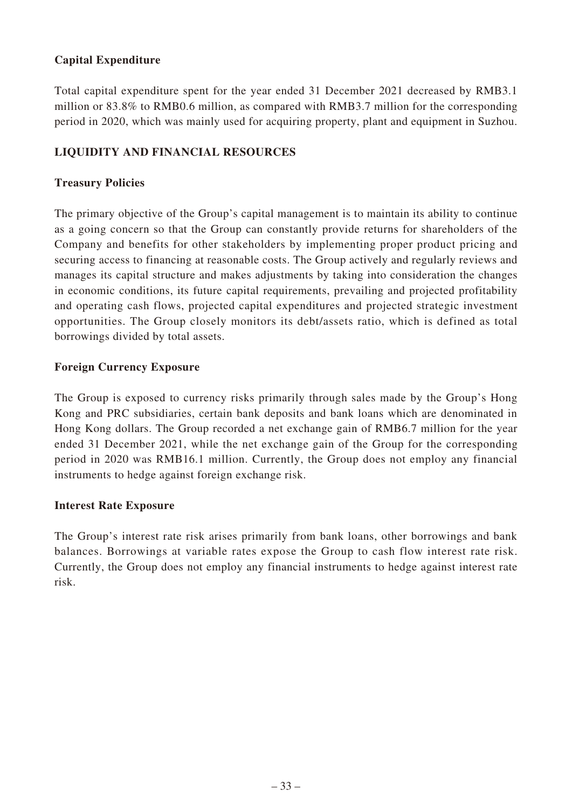# **Capital Expenditure**

Total capital expenditure spent for the year ended 31 December 2021 decreased by RMB3.1 million or 83.8% to RMB0.6 million, as compared with RMB3.7 million for the corresponding period in 2020, which was mainly used for acquiring property, plant and equipment in Suzhou.

# **LIQUIDITY AND FINANCIAL RESOURCES**

## **Treasury Policies**

The primary objective of the Group's capital management is to maintain its ability to continue as a going concern so that the Group can constantly provide returns for shareholders of the Company and benefits for other stakeholders by implementing proper product pricing and securing access to financing at reasonable costs. The Group actively and regularly reviews and manages its capital structure and makes adjustments by taking into consideration the changes in economic conditions, its future capital requirements, prevailing and projected profitability and operating cash flows, projected capital expenditures and projected strategic investment opportunities. The Group closely monitors its debt/assets ratio, which is defined as total borrowings divided by total assets.

### **Foreign Currency Exposure**

The Group is exposed to currency risks primarily through sales made by the Group's Hong Kong and PRC subsidiaries, certain bank deposits and bank loans which are denominated in Hong Kong dollars. The Group recorded a net exchange gain of RMB6.7 million for the year ended 31 December 2021, while the net exchange gain of the Group for the corresponding period in 2020 was RMB16.1 million. Currently, the Group does not employ any financial instruments to hedge against foreign exchange risk.

### **Interest Rate Exposure**

The Group's interest rate risk arises primarily from bank loans, other borrowings and bank balances. Borrowings at variable rates expose the Group to cash flow interest rate risk. Currently, the Group does not employ any financial instruments to hedge against interest rate risk.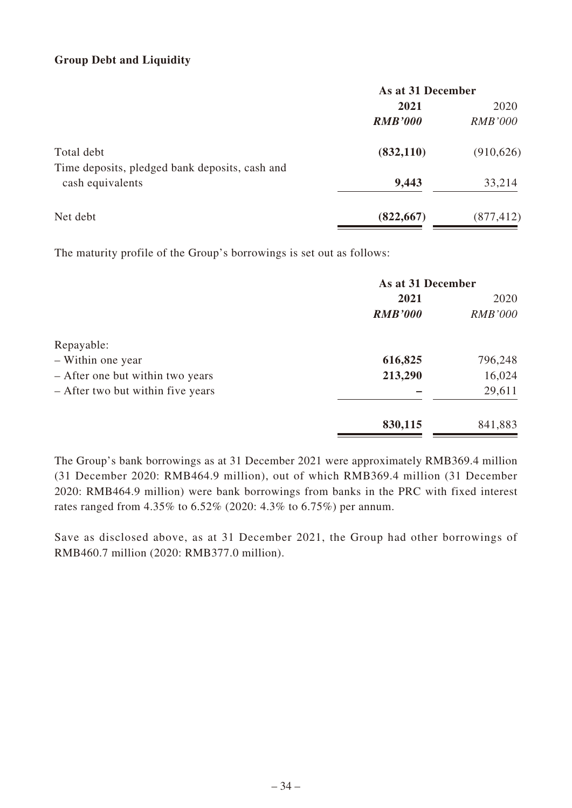# **Group Debt and Liquidity**

|                                                                    | As at 31 December |                |  |
|--------------------------------------------------------------------|-------------------|----------------|--|
|                                                                    | 2021              | 2020           |  |
|                                                                    | <b>RMB'000</b>    | <i>RMB'000</i> |  |
| Total debt                                                         | (832, 110)        | (910, 626)     |  |
| Time deposits, pledged bank deposits, cash and<br>cash equivalents | 9,443             | 33,214         |  |
| Net debt                                                           | (822, 667)        | (877, 412)     |  |

The maturity profile of the Group's borrowings is set out as follows:

|                                   | As at 31 December |                |  |
|-----------------------------------|-------------------|----------------|--|
|                                   | 2021              |                |  |
|                                   | <b>RMB'000</b>    | <b>RMB'000</b> |  |
| Repayable:                        |                   |                |  |
| - Within one year                 | 616,825           | 796,248        |  |
| - After one but within two years  | 213,290           | 16,024         |  |
| - After two but within five years |                   | 29,611         |  |
|                                   | 830,115           | 841,883        |  |

The Group's bank borrowings as at 31 December 2021 were approximately RMB369.4 million (31 December 2020: RMB464.9 million), out of which RMB369.4 million (31 December 2020: RMB464.9 million) were bank borrowings from banks in the PRC with fixed interest rates ranged from 4.35% to 6.52% (2020: 4.3% to 6.75%) per annum.

Save as disclosed above, as at 31 December 2021, the Group had other borrowings of RMB460.7 million (2020: RMB377.0 million).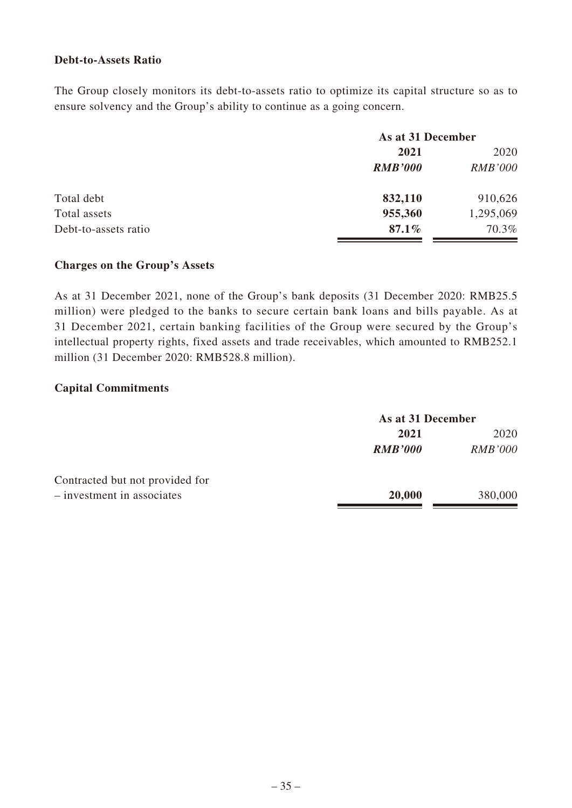### **Debt-to-Assets Ratio**

The Group closely monitors its debt-to-assets ratio to optimize its capital structure so as to ensure solvency and the Group's ability to continue as a going concern.

|                      |                | As at 31 December |  |
|----------------------|----------------|-------------------|--|
|                      | 2021           | 2020              |  |
|                      | <b>RMB'000</b> | <b>RMB'000</b>    |  |
| Total debt           | 832,110        | 910,626           |  |
| Total assets         | 955,360        | 1,295,069         |  |
| Debt-to-assets ratio | 87.1%          | 70.3%             |  |

### **Charges on the Group's Assets**

As at 31 December 2021, none of the Group's bank deposits (31 December 2020: RMB25.5 million) were pledged to the banks to secure certain bank loans and bills payable. As at 31 December 2021, certain banking facilities of the Group were secured by the Group's intellectual property rights, fixed assets and trade receivables, which amounted to RMB252.1 million (31 December 2020: RMB528.8 million).

### **Capital Commitments**

|                                 |                | As at 31 December |  |
|---------------------------------|----------------|-------------------|--|
|                                 | 2021           | 2020              |  |
|                                 | <b>RMB'000</b> | <b>RMB'000</b>    |  |
| Contracted but not provided for |                |                   |  |
| $-$ investment in associates    | 20,000         | 380,000           |  |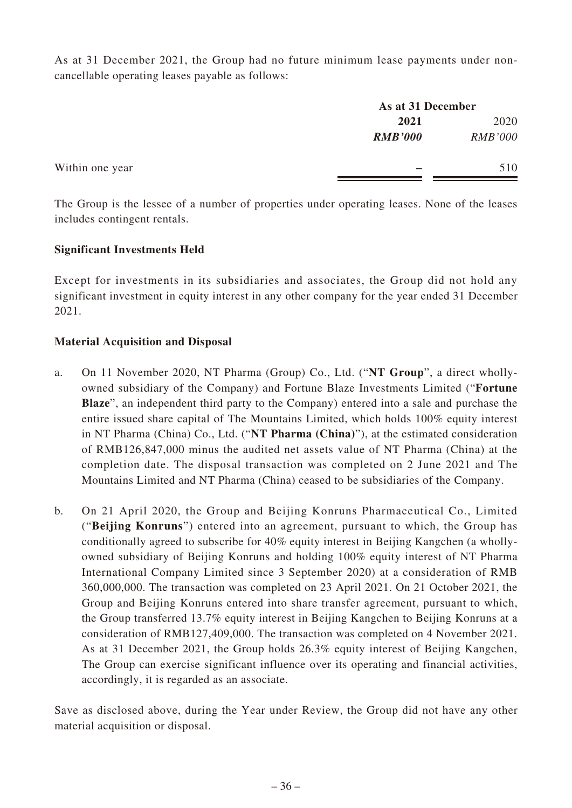As at 31 December 2021, the Group had no future minimum lease payments under noncancellable operating leases payable as follows:

|                 |                | As at 31 December |  |
|-----------------|----------------|-------------------|--|
|                 | 2021           | 2020              |  |
|                 | <b>RMB'000</b> | <b>RMB'000</b>    |  |
| Within one year |                | 510               |  |
|                 |                |                   |  |

The Group is the lessee of a number of properties under operating leases. None of the leases includes contingent rentals.

# **Significant Investments Held**

Except for investments in its subsidiaries and associates, the Group did not hold any significant investment in equity interest in any other company for the year ended 31 December 2021.

### **Material Acquisition and Disposal**

- a. On 11 November 2020, NT Pharma (Group) Co., Ltd. ("**NT Group**", a direct whollyowned subsidiary of the Company) and Fortune Blaze Investments Limited ("**Fortune Blaze**", an independent third party to the Company) entered into a sale and purchase the entire issued share capital of The Mountains Limited, which holds 100% equity interest in NT Pharma (China) Co., Ltd. ("**NT Pharma (China)**"), at the estimated consideration of RMB126,847,000 minus the audited net assets value of NT Pharma (China) at the completion date. The disposal transaction was completed on 2 June 2021 and The Mountains Limited and NT Pharma (China) ceased to be subsidiaries of the Company.
- b. On 21 April 2020, the Group and Beijing Konruns Pharmaceutical Co., Limited ("**Beijing Konruns**") entered into an agreement, pursuant to which, the Group has conditionally agreed to subscribe for 40% equity interest in Beijing Kangchen (a whollyowned subsidiary of Beijing Konruns and holding 100% equity interest of NT Pharma International Company Limited since 3 September 2020) at a consideration of RMB 360,000,000. The transaction was completed on 23 April 2021. On 21 October 2021, the Group and Beijing Konruns entered into share transfer agreement, pursuant to which, the Group transferred 13.7% equity interest in Beijing Kangchen to Beijing Konruns at a consideration of RMB127,409,000. The transaction was completed on 4 November 2021. As at 31 December 2021, the Group holds 26.3% equity interest of Beijing Kangchen, The Group can exercise significant influence over its operating and financial activities, accordingly, it is regarded as an associate.

Save as disclosed above, during the Year under Review, the Group did not have any other material acquisition or disposal.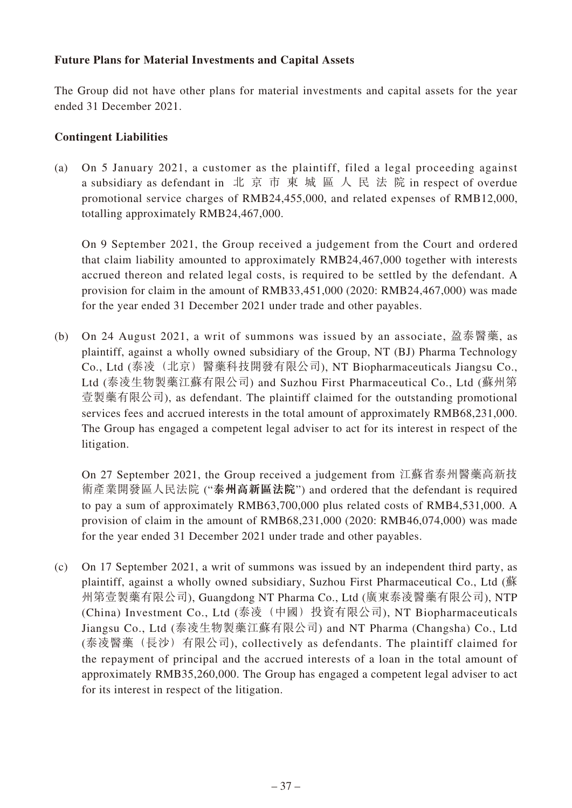# **Future Plans for Material Investments and Capital Assets**

The Group did not have other plans for material investments and capital assets for the year ended 31 December 2021.

## **Contingent Liabilities**

(a) On 5 January 2021, a customer as the plaintiff, filed a legal proceeding against a subsidiary as defendant in 北京市東城區人民法院 in respect of overdue promotional service charges of RMB24,455,000, and related expenses of RMB12,000, totalling approximately RMB24,467,000.

On 9 September 2021, the Group received a judgement from the Court and ordered that claim liability amounted to approximately RMB24,467,000 together with interests accrued thereon and related legal costs, is required to be settled by the defendant. A provision for claim in the amount of RMB33,451,000 (2020: RMB24,467,000) was made for the year ended 31 December 2021 under trade and other payables.

(b) On 24 August 2021, a writ of summons was issued by an associate, 盈泰醫藥, as plaintiff, against a wholly owned subsidiary of the Group, NT (BJ) Pharma Technology Co., Ltd (泰凌(北京)醫藥科技開發有限公司), NT Biopharmaceuticals Jiangsu Co., Ltd (泰凌生物製藥江蘇有限公司) and Suzhou First Pharmaceutical Co., Ltd (蘇州第 壹製藥有限公司), as defendant. The plaintiff claimed for the outstanding promotional services fees and accrued interests in the total amount of approximately RMB68,231,000. The Group has engaged a competent legal adviser to act for its interest in respect of the litigation.

On 27 September 2021, the Group received a judgement from 江蘇省泰州醫藥高新技 術產業開發區人民法院 ("**泰州高新區法院**") and ordered that the defendant is required to pay a sum of approximately RMB63,700,000 plus related costs of RMB4,531,000. A provision of claim in the amount of RMB68,231,000 (2020: RMB46,074,000) was made for the year ended 31 December 2021 under trade and other payables.

(c) On 17 September 2021, a writ of summons was issued by an independent third party, as plaintiff, against a wholly owned subsidiary, Suzhou First Pharmaceutical Co., Ltd (蘇 州第壹製藥有限公司), Guangdong NT Pharma Co., Ltd (廣東泰凌醫藥有限公司), NTP (China) Investment Co., Ltd (泰凌(中國)投資有限公司), NT Biopharmaceuticals Jiangsu Co., Ltd (泰凌生物製藥江蘇有限公司) and NT Pharma (Changsha) Co., Ltd (泰凌醫藥(長沙)有限公司), collectively as defendants. The plaintiff claimed for the repayment of principal and the accrued interests of a loan in the total amount of approximately RMB35,260,000. The Group has engaged a competent legal adviser to act for its interest in respect of the litigation.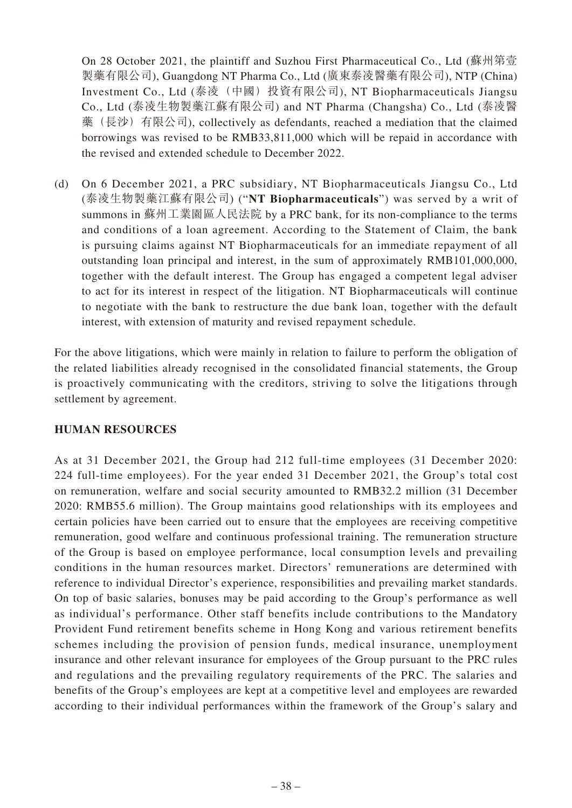On 28 October 2021, the plaintiff and Suzhou First Pharmaceutical Co., Ltd (蘇州第壹 製藥有限公司), Guangdong NT Pharma Co., Ltd (廣東泰凌醫藥有限公司), NTP (China) Investment Co., Ltd (泰凌(中國) 投資有限公司), NT Biopharmaceuticals Jiangsu Co., Ltd (泰凌生物製藥江蘇有限公司) and NT Pharma (Changsha) Co., Ltd (泰凌醫 藥(長沙)有限公司), collectively as defendants, reached a mediation that the claimed borrowings was revised to be RMB33,811,000 which will be repaid in accordance with the revised and extended schedule to December 2022.

(d) On 6 December 2021, a PRC subsidiary, NT Biopharmaceuticals Jiangsu Co., Ltd (泰凌生物製藥江蘇有限公司) ("**NT Biopharmaceuticals**") was served by a writ of summons in 蘇州工業園區人民法院 by a PRC bank, for its non-compliance to the terms and conditions of a loan agreement. According to the Statement of Claim, the bank is pursuing claims against NT Biopharmaceuticals for an immediate repayment of all outstanding loan principal and interest, in the sum of approximately RMB101,000,000, together with the default interest. The Group has engaged a competent legal adviser to act for its interest in respect of the litigation. NT Biopharmaceuticals will continue to negotiate with the bank to restructure the due bank loan, together with the default interest, with extension of maturity and revised repayment schedule.

For the above litigations, which were mainly in relation to failure to perform the obligation of the related liabilities already recognised in the consolidated financial statements, the Group is proactively communicating with the creditors, striving to solve the litigations through settlement by agreement.

### **HUMAN RESOURCES**

As at 31 December 2021, the Group had 212 full-time employees (31 December 2020: 224 full-time employees). For the year ended 31 December 2021, the Group's total cost on remuneration, welfare and social security amounted to RMB32.2 million (31 December 2020: RMB55.6 million). The Group maintains good relationships with its employees and certain policies have been carried out to ensure that the employees are receiving competitive remuneration, good welfare and continuous professional training. The remuneration structure of the Group is based on employee performance, local consumption levels and prevailing conditions in the human resources market. Directors' remunerations are determined with reference to individual Director's experience, responsibilities and prevailing market standards. On top of basic salaries, bonuses may be paid according to the Group's performance as well as individual's performance. Other staff benefits include contributions to the Mandatory Provident Fund retirement benefits scheme in Hong Kong and various retirement benefits schemes including the provision of pension funds, medical insurance, unemployment insurance and other relevant insurance for employees of the Group pursuant to the PRC rules and regulations and the prevailing regulatory requirements of the PRC. The salaries and benefits of the Group's employees are kept at a competitive level and employees are rewarded according to their individual performances within the framework of the Group's salary and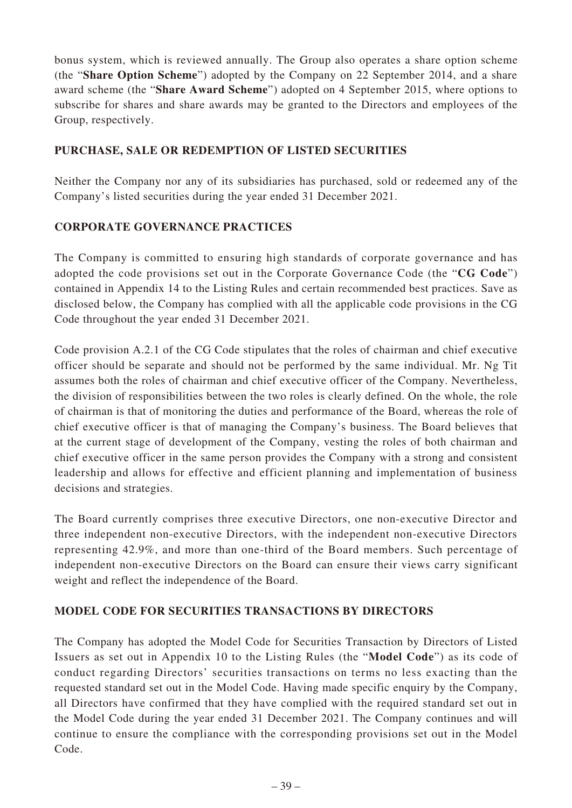bonus system, which is reviewed annually. The Group also operates a share option scheme (the "**Share Option Scheme**") adopted by the Company on 22 September 2014, and a share award scheme (the "**Share Award Scheme**") adopted on 4 September 2015, where options to subscribe for shares and share awards may be granted to the Directors and employees of the Group, respectively.

# **PURCHASE, SALE OR REDEMPTION OF LISTED SECURITIES**

Neither the Company nor any of its subsidiaries has purchased, sold or redeemed any of the Company's listed securities during the year ended 31 December 2021.

# **CORPORATE GOVERNANCE PRACTICES**

The Company is committed to ensuring high standards of corporate governance and has adopted the code provisions set out in the Corporate Governance Code (the "**CG Code**") contained in Appendix 14 to the Listing Rules and certain recommended best practices. Save as disclosed below, the Company has complied with all the applicable code provisions in the CG Code throughout the year ended 31 December 2021.

Code provision A.2.1 of the CG Code stipulates that the roles of chairman and chief executive officer should be separate and should not be performed by the same individual. Mr. Ng Tit assumes both the roles of chairman and chief executive officer of the Company. Nevertheless, the division of responsibilities between the two roles is clearly defined. On the whole, the role of chairman is that of monitoring the duties and performance of the Board, whereas the role of chief executive officer is that of managing the Company's business. The Board believes that at the current stage of development of the Company, vesting the roles of both chairman and chief executive officer in the same person provides the Company with a strong and consistent leadership and allows for effective and efficient planning and implementation of business decisions and strategies.

The Board currently comprises three executive Directors, one non-executive Director and three independent non-executive Directors, with the independent non-executive Directors representing 42.9%, and more than one-third of the Board members. Such percentage of independent non-executive Directors on the Board can ensure their views carry significant weight and reflect the independence of the Board.

# **MODEL CODE FOR SECURITIES TRANSACTIONS BY DIRECTORS**

The Company has adopted the Model Code for Securities Transaction by Directors of Listed Issuers as set out in Appendix 10 to the Listing Rules (the "**Model Code**") as its code of conduct regarding Directors' securities transactions on terms no less exacting than the requested standard set out in the Model Code. Having made specific enquiry by the Company, all Directors have confirmed that they have complied with the required standard set out in the Model Code during the year ended 31 December 2021. The Company continues and will continue to ensure the compliance with the corresponding provisions set out in the Model Code.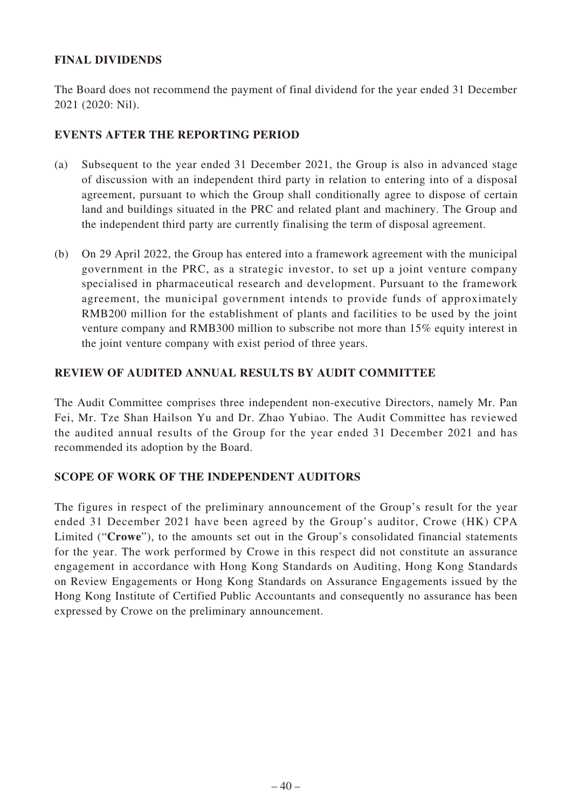# **FINAL DIVIDENDS**

The Board does not recommend the payment of final dividend for the year ended 31 December 2021 (2020: Nil).

### **EVENTS AFTER THE REPORTING PERIOD**

- (a) Subsequent to the year ended 31 December 2021, the Group is also in advanced stage of discussion with an independent third party in relation to entering into of a disposal agreement, pursuant to which the Group shall conditionally agree to dispose of certain land and buildings situated in the PRC and related plant and machinery. The Group and the independent third party are currently finalising the term of disposal agreement.
- (b) On 29 April 2022, the Group has entered into a framework agreement with the municipal government in the PRC, as a strategic investor, to set up a joint venture company specialised in pharmaceutical research and development. Pursuant to the framework agreement, the municipal government intends to provide funds of approximately RMB200 million for the establishment of plants and facilities to be used by the joint venture company and RMB300 million to subscribe not more than 15% equity interest in the joint venture company with exist period of three years.

### **REVIEW OF AUDITED ANNUAL RESULTS BY AUDIT COMMITTEE**

The Audit Committee comprises three independent non-executive Directors, namely Mr. Pan Fei, Mr. Tze Shan Hailson Yu and Dr. Zhao Yubiao. The Audit Committee has reviewed the audited annual results of the Group for the year ended 31 December 2021 and has recommended its adoption by the Board.

### **SCOPE OF WORK OF THE INDEPENDENT AUDITORS**

The figures in respect of the preliminary announcement of the Group's result for the year ended 31 December 2021 have been agreed by the Group's auditor, Crowe (HK) CPA Limited ("**Crowe**"), to the amounts set out in the Group's consolidated financial statements for the year. The work performed by Crowe in this respect did not constitute an assurance engagement in accordance with Hong Kong Standards on Auditing, Hong Kong Standards on Review Engagements or Hong Kong Standards on Assurance Engagements issued by the Hong Kong Institute of Certified Public Accountants and consequently no assurance has been expressed by Crowe on the preliminary announcement.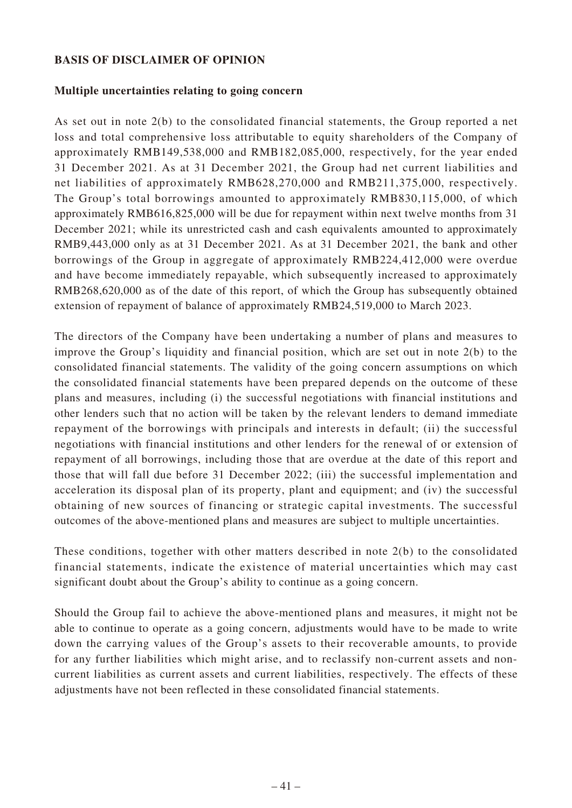## **BASIS OF DISCLAIMER OF OPINION**

### **Multiple uncertainties relating to going concern**

As set out in note 2(b) to the consolidated financial statements, the Group reported a net loss and total comprehensive loss attributable to equity shareholders of the Company of approximately RMB149,538,000 and RMB182,085,000, respectively, for the year ended 31 December 2021. As at 31 December 2021, the Group had net current liabilities and net liabilities of approximately RMB628,270,000 and RMB211,375,000, respectively. The Group's total borrowings amounted to approximately RMB830,115,000, of which approximately RMB616,825,000 will be due for repayment within next twelve months from 31 December 2021; while its unrestricted cash and cash equivalents amounted to approximately RMB9,443,000 only as at 31 December 2021. As at 31 December 2021, the bank and other borrowings of the Group in aggregate of approximately RMB224,412,000 were overdue and have become immediately repayable, which subsequently increased to approximately RMB268,620,000 as of the date of this report, of which the Group has subsequently obtained extension of repayment of balance of approximately RMB24,519,000 to March 2023.

The directors of the Company have been undertaking a number of plans and measures to improve the Group's liquidity and financial position, which are set out in note 2(b) to the consolidated financial statements. The validity of the going concern assumptions on which the consolidated financial statements have been prepared depends on the outcome of these plans and measures, including (i) the successful negotiations with financial institutions and other lenders such that no action will be taken by the relevant lenders to demand immediate repayment of the borrowings with principals and interests in default; (ii) the successful negotiations with financial institutions and other lenders for the renewal of or extension of repayment of all borrowings, including those that are overdue at the date of this report and those that will fall due before 31 December 2022; (iii) the successful implementation and acceleration its disposal plan of its property, plant and equipment; and (iv) the successful obtaining of new sources of financing or strategic capital investments. The successful outcomes of the above-mentioned plans and measures are subject to multiple uncertainties.

These conditions, together with other matters described in note 2(b) to the consolidated financial statements, indicate the existence of material uncertainties which may cast significant doubt about the Group's ability to continue as a going concern.

Should the Group fail to achieve the above-mentioned plans and measures, it might not be able to continue to operate as a going concern, adjustments would have to be made to write down the carrying values of the Group's assets to their recoverable amounts, to provide for any further liabilities which might arise, and to reclassify non-current assets and noncurrent liabilities as current assets and current liabilities, respectively. The effects of these adjustments have not been reflected in these consolidated financial statements.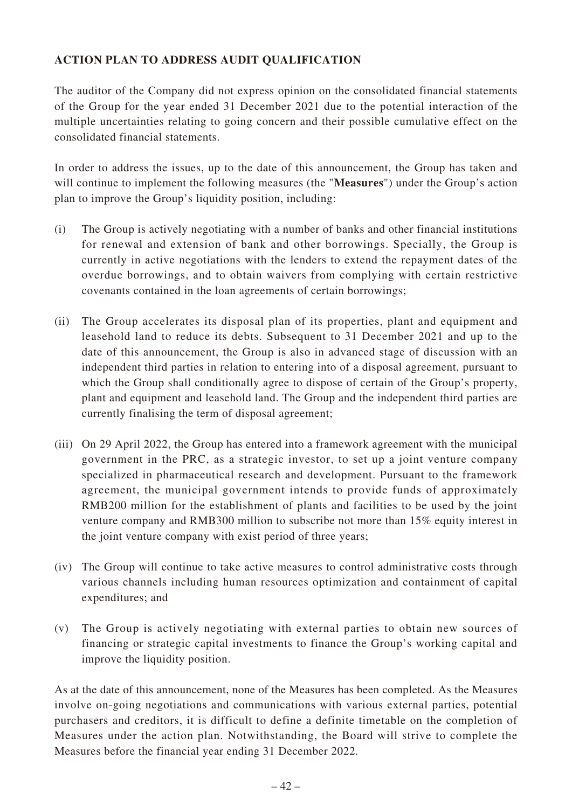# **ACTION PLAN TO ADDRESS AUDIT QUALIFICATION**

The auditor of the Company did not express opinion on the consolidated financial statements of the Group for the year ended 31 December 2021 due to the potential interaction of the multiple uncertainties relating to going concern and their possible cumulative effect on the consolidated financial statements.

In order to address the issues, up to the date of this announcement, the Group has taken and will continue to implement the following measures (the "**Measures**") under the Group's action plan to improve the Group's liquidity position, including:

- (i) The Group is actively negotiating with a number of banks and other financial institutions for renewal and extension of bank and other borrowings. Specially, the Group is currently in active negotiations with the lenders to extend the repayment dates of the overdue borrowings, and to obtain waivers from complying with certain restrictive covenants contained in the loan agreements of certain borrowings;
- (ii) The Group accelerates its disposal plan of its properties, plant and equipment and leasehold land to reduce its debts. Subsequent to 31 December 2021 and up to the date of this announcement, the Group is also in advanced stage of discussion with an independent third parties in relation to entering into of a disposal agreement, pursuant to which the Group shall conditionally agree to dispose of certain of the Group's property, plant and equipment and leasehold land. The Group and the independent third parties are currently finalising the term of disposal agreement;
- (iii) On 29 April 2022, the Group has entered into a framework agreement with the municipal government in the PRC, as a strategic investor, to set up a joint venture company specialized in pharmaceutical research and development. Pursuant to the framework agreement, the municipal government intends to provide funds of approximately RMB200 million for the establishment of plants and facilities to be used by the joint venture company and RMB300 million to subscribe not more than 15% equity interest in the joint venture company with exist period of three years;
- (iv) The Group will continue to take active measures to control administrative costs through various channels including human resources optimization and containment of capital expenditures; and
- (v) The Group is actively negotiating with external parties to obtain new sources of financing or strategic capital investments to finance the Group's working capital and improve the liquidity position.

As at the date of this announcement, none of the Measures has been completed. As the Measures involve on-going negotiations and communications with various external parties, potential purchasers and creditors, it is difficult to define a definite timetable on the completion of Measures under the action plan. Notwithstanding, the Board will strive to complete the Measures before the financial year ending 31 December 2022.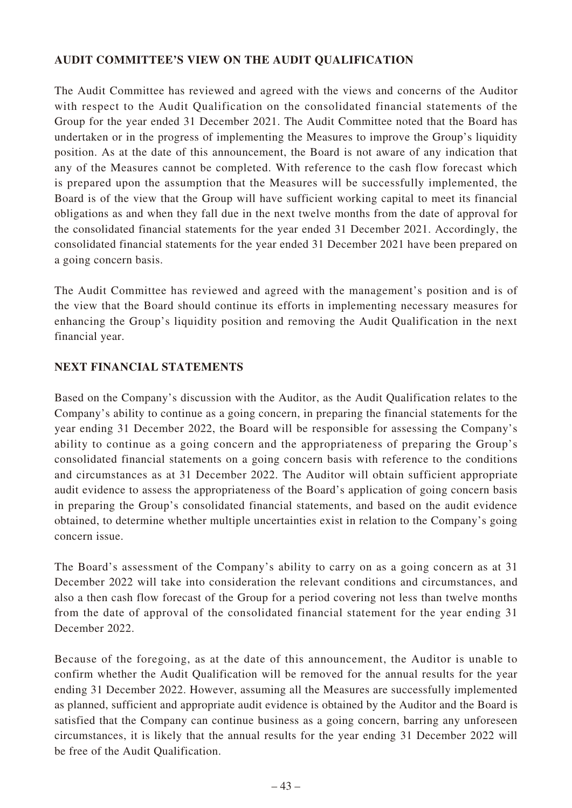# **AUDIT COMMITTEE'S VIEW ON THE AUDIT QUALIFICATION**

The Audit Committee has reviewed and agreed with the views and concerns of the Auditor with respect to the Audit Qualification on the consolidated financial statements of the Group for the year ended 31 December 2021. The Audit Committee noted that the Board has undertaken or in the progress of implementing the Measures to improve the Group's liquidity position. As at the date of this announcement, the Board is not aware of any indication that any of the Measures cannot be completed. With reference to the cash flow forecast which is prepared upon the assumption that the Measures will be successfully implemented, the Board is of the view that the Group will have sufficient working capital to meet its financial obligations as and when they fall due in the next twelve months from the date of approval for the consolidated financial statements for the year ended 31 December 2021. Accordingly, the consolidated financial statements for the year ended 31 December 2021 have been prepared on a going concern basis.

The Audit Committee has reviewed and agreed with the management's position and is of the view that the Board should continue its efforts in implementing necessary measures for enhancing the Group's liquidity position and removing the Audit Qualification in the next financial year.

# **NEXT FINANCIAL STATEMENTS**

Based on the Company's discussion with the Auditor, as the Audit Qualification relates to the Company's ability to continue as a going concern, in preparing the financial statements for the year ending 31 December 2022, the Board will be responsible for assessing the Company's ability to continue as a going concern and the appropriateness of preparing the Group's consolidated financial statements on a going concern basis with reference to the conditions and circumstances as at 31 December 2022. The Auditor will obtain sufficient appropriate audit evidence to assess the appropriateness of the Board's application of going concern basis in preparing the Group's consolidated financial statements, and based on the audit evidence obtained, to determine whether multiple uncertainties exist in relation to the Company's going concern issue.

The Board's assessment of the Company's ability to carry on as a going concern as at 31 December 2022 will take into consideration the relevant conditions and circumstances, and also a then cash flow forecast of the Group for a period covering not less than twelve months from the date of approval of the consolidated financial statement for the year ending 31 December 2022.

Because of the foregoing, as at the date of this announcement, the Auditor is unable to confirm whether the Audit Qualification will be removed for the annual results for the year ending 31 December 2022. However, assuming all the Measures are successfully implemented as planned, sufficient and appropriate audit evidence is obtained by the Auditor and the Board is satisfied that the Company can continue business as a going concern, barring any unforeseen circumstances, it is likely that the annual results for the year ending 31 December 2022 will be free of the Audit Qualification.